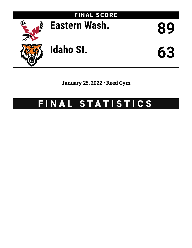

January 25, 2022 • Reed Gym

# FINAL STATISTICS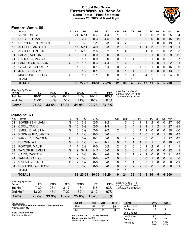# **Official Box Score Eastern Wash. vs Idaho St. Game Totals -- Final Statistics January 25, 2022 at Reed Gym**



# **Eastern Wash. 89**

| Player                  | S | Pts           | FG       | 3FG       | FT        | 0R            | DR. | TR | PF                | A             | TO       | <b>B</b> lk | Stl      | Min | $+/-$ |
|-------------------------|---|---------------|----------|-----------|-----------|---------------|-----|----|-------------------|---------------|----------|-------------|----------|-----|-------|
| <b>VENTERS, STEELE</b>  | F | 21            | $6 - 11$ | $5 - 7$   | 4-4       |               | 8   | 9  |                   | 3             | 0        | 2           | 0        | 25  | 34    |
| PRICE, ETHAN            | F | 8             | $2 - 7$  | $0 - 3$   | $4 - 5$   | 0             | 3   | 3  | 3                 | 0             | $\Omega$ | $\Omega$    | 0        | 15  | 19    |
| <b>BERGERSEN, RYLAN</b> | G | 9             | $3-3$    | $1 - 1$   | $2 - 3$   | 3             | 2   | 5  | 2                 | 6             |          | 0           | 0        | 19  | 31    |
| ALLEGRI, ANGELO         | F | 17            | $5 - 11$ | $4 - 9$   | $3 - 3$   | $\mathcal{P}$ | 3   | 5  | 1                 | 1             | 3        |             | 2        | 29  | 31    |
| <b>ACLIESE, LINTON</b>  | F | 16            | $6 - 13$ | $2 - 5$   | $2 - 2$   | 1             | 4   | 5  | 2                 |               | 0        |             | 0        | 22  | 33    |
| FADAL, AUSTIN           | G | $\Omega$      | $0 - 4$  | $0 - 0$   | $0 - 0$   | 0             | 3   | 3  | 3                 | 0             |          | 0           | 1        | 9   | $-12$ |
| RADOCAJ, VICTOR         | F | 2             | $1 - 1$  | $0 - 0$   | $0-0$     | 0             | 1   | 1  | 2                 | 0             | 1        | 0           | 0        | 7   | $-7$  |
| LANDDECK, MASON         | G | 6             | $1 - 6$  | $0 - 3$   | $4 - 4$   |               | 2   | 3  | $\mathcal{P}$     | $\mathcal{P}$ |          | 0           | 1        | 22  | -1    |
| <b>GEORGE, IMHOTEP</b>  | F | 5.            | $1 - 3$  | $0 - 1$   | $3-4$     | 0             | 2   | 2  | 4                 | 0             |          | 0           | 0        | 15  | -6    |
| <b>JONES, CASEY</b>     | F | $\mathcal{P}$ | $1 - 2$  | $0 - 1$   | $0 - 1$   | 0             | 1   | 1  | $\mathcal{P}$     | 0             | $\Omega$ | 0           | $\Omega$ | 13  | $-2$  |
| <b>MAGNUSON, ELLIS</b>  | G | 3             | 1-1      | $1 - 1$   | $0 - 0$   | 0             | 1   | 1  | $\Omega$          | 4             | 2        |             | 1        | 24  | 10    |
| TEAM                    |   |               |          |           |           | 4             | 6   | 10 | $\Omega$          |               | 1        |             |          |     |       |
| <b>TOTALS</b>           |   | 89            |          | $13 - 31$ | $22 - 26$ | $12 \,$       | 36  | 48 | $22 \overline{)}$ | 17            | 11       | 5           |          |     |       |
|                         |   |               |          | $27 - 62$ |           |               |     |    |                   |               |          |             |          |     | 5 200 |

| <b>Shooting By Period</b> |           |       |           |       |           |       |                                              |
|---------------------------|-----------|-------|-----------|-------|-----------|-------|----------------------------------------------|
| Period                    | FG        | FG%   | 3FG       | 3FG%  | FT        | FT%   | Last FG: 2nd-00:36<br>Largest lead: By 41 at |
| 1st Half                  | 16-31     | 52%   | հ-14      | 43%   | 14-14     | 100%  | Technical Fouls: None.                       |
| 2nd Half                  | $11 - 31$ | 35%   | 7-17      | 41%   | $8-12$    | 67%   |                                              |
| Game                      | $27 - 62$ | 43.5% | $13 - 31$ | 41.9% | $22 - 26$ | 84.6% |                                              |

# **Idaho St. 63**

| No. | Player                   | S  | Pts           | FG       | 3FG       | FT        | 0R           | DR       | TR           | PF             | A            | TO       | <b>B</b> lk  | Stl          | Min | $+/-$ |
|-----|--------------------------|----|---------------|----------|-----------|-----------|--------------|----------|--------------|----------------|--------------|----------|--------------|--------------|-----|-------|
| 01  | SORENSEN, LIAM           | G  | 10            | $3 - 8$  | $2 - 5$   | $2 - 2$   |              | 5        | 6            |                |              | 2        | 0            | 0            | 27  | $-26$ |
| 02  | COOL, TARIK              | G  | 15            | $6-9$    | $2 - 5$   | $1 - 3$   |              | 3        | 4            | $\overline{2}$ |              |          | 2            |              | 27  | $-21$ |
| 05  | SMELLIE, AUSTIN          | G  | 8             | $2 - 9$  | $2 - 6$   | $2 - 2$   | 2            | 1        | 3            | 1              | 1            | 0        | 0            | 0            | 30  | $-36$ |
| 22  | RODRIGUEZ, JARED         | F  | 4             | $2 - 6$  | $0 - 3$   | $0 - 0$   | 1.           | 4        | 5            | 4              | 0            |          | $\Omega$     |              | 19  | $-13$ |
| 25  | PARKER, BRAYDEN          | С  | 0             | $0 - 2$  | $0 - 1$   | $0 - 0$   | 0            | 2        | 2            | 3              | 3            | 0        |              |              | 17  | -17   |
| 00  | <b>BURGIN, AJ</b>        | G  |               | $1 - 5$  | $1 - 4$   | $4 - 5$   | $\Omega$     | 1        |              |                | 0            |          |              | 0            | 10  | $-2$  |
| 03  | PORTER, MALIK            | F  | 4             | $2 - 2$  | $0 - 0$   | $0 - 2$   | 2            | 3        | 5            | 0              | 1            | 2        | 0            | 1            | 11  | 1     |
| 04  | <b>TAYLOR III, EMMIT</b> | G  | 9             | $3 - 11$ | $3 - 11$  | $0 - 0$   | 0            | $\Omega$ | $\mathbf{0}$ | $\Omega$       | $\mathbf{0}$ | 0        | $\mathbf{0}$ | 0            | 22  | 1     |
| 13  | CARR, DAXTON             | F. | $\mathcal{P}$ | $0 - 5$  | $0 - 4$   | $2 - 4$   | $\mathbf{0}$ | 1        |              | $\mathcal{P}$  | 1            | 0        | 0            | 2            | 21  | $-13$ |
| 24  | TAMBA, PABLO             | G  | $\mathcal{P}$ | $0 - 0$  | $0 - 0$   | $2 - 2$   | $\Omega$     | 0        | $\Omega$     | $\Omega$       | 0            |          | $\Omega$     | $\mathbf{0}$ | 4   | 6     |
| 32  | <b>VISENTIN, ZACH</b>    | C  | 2             | $1 - 2$  | $0 - 0$   | $0 - 0$   | $\Omega$     | 1        |              | 3              | 0            |          | 0            | $\Omega$     | 6   | $-11$ |
| 34  | <b>BUZANGU, GEDEON</b>   | F. | 0             | $0-0$    | $0-0$     | $0 - 0$   | 0            | 2        | 2            | 2              | $\Omega$     | $\Omega$ |              | $\Omega$     | 6   | 1     |
|     | <b>TEAM</b>              |    |               |          |           |           | 2            | 1        | 3            | 0              |              |          |              |              |     |       |
|     | <b>TOTALS</b>            |    | 63            | 20-59    | $10 - 39$ | $13 - 20$ | 9            | 24       | 33           | 19             | 8            | 10       | 5            | 6            | 200 |       |

| <b>Shooting By Period</b> |           |            |           |       |           |       |                                             |
|---------------------------|-----------|------------|-----------|-------|-----------|-------|---------------------------------------------|
| Period                    | FG        | FG%        | 3FG       | 3FG%  | FT        | FT%   | Last FG: 2nd-01:38<br>Largest lead: By 0 at |
| 1st Half                  | 7-30      | <b>23%</b> | $3 - 17$  | 18%   | $5-8$     | 63%   | Technical Fouls: None.                      |
| 2nd Half                  | $13 - 29$ | 45%        | 7-22      | 32%   | 8-12      | 67%   |                                             |
| Game                      | $20 - 59$ | 33.9%      | $10 - 39$ | 25.6% | $13 - 20$ | 65.0% |                                             |

| Game Notes:                                         | <b>Score</b> | 1st             | 2nd                   | тот | Points       | <b>EWU</b> | <b>ISU</b> |
|-----------------------------------------------------|--------------|-----------------|-----------------------|-----|--------------|------------|------------|
| Officials: Kevin Brill, Rick Batsell, Chad Shepherd | <b>EWL</b>   | 52              |                       | 89  | In the Paint | 24         | 18         |
| Attendance: 1042                                    | ISU          | າາ<br><u>__</u> | $\mathbf{A}^{\prime}$ | 63  | Off Turns    | 18         |            |
| Start Time: 02:00 AM                                |              |                 |                       |     | 2nd Chance   |            |            |

Start Time: **02:00 AM** Conference Game;

**EWU led for 39:21. ISU led for 0:00. Game was tied for 0:0.** Times tied: **0** Lead Changes: **0**

| <b>Points</b>     | EWU            | ISU            |
|-------------------|----------------|----------------|
| In the Paint      | 24             | 18             |
| Off Turns         | 18             | 9              |
| 2nd Chance        | 11             |                |
| <b>Fast Break</b> | 23             | 8              |
| Bench             | 18             | 26             |
| Per Poss          | 1.254<br>38/71 | 0.926<br>27/68 |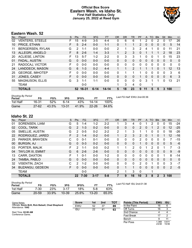# **Official Box Score Eastern Wash. vs Idaho St. First Half Statistics Only January 25, 2022 at Reed Gym**



# **Eastern Wash. 52**

| No. | Player                  | S  | <b>Pts</b>      | FG      | 3FG      | <b>FT</b> | <b>OR</b> | <b>DR</b> | <b>TR</b>      | PF       | A  | <b>TO</b> | <b>B</b> lk | Stl          | Min          | $+/-$ |
|-----|-------------------------|----|-----------------|---------|----------|-----------|-----------|-----------|----------------|----------|----|-----------|-------------|--------------|--------------|-------|
| 02  | <b>VENTERS, STEELE</b>  | F. | 15              | $4 - 9$ | 3-5      | 4-4       | 0         | 6         | 6              |          | 2  | 0         | 2           | 0            | 17           | 26    |
| 10  | PRICE, ETHAN            | F  | 5               | $2 - 4$ | $0 - 0$  | $1 - 1$   | 0         | 1         | 1              | 2        | 0  | $\Omega$  | 0           | $\mathbf{0}$ | 5            | 14    |
| 11  | <b>BERGERSEN, RYLAN</b> | G  | 2               | 1-1     | $0 - 0$  | $0 - 0$   | 2         | 1         | 3              | 2        | 4  |           | 0           | 0            | 11           | 21    |
| 13  | ALLEGRI, ANGELO         | F. | 8               | $2 - 6$ | $1 - 4$  | $3 - 3$   |           | 2         | 3              | $\Omega$ |    |           |             | 2            | 18           | 23    |
| 20  | <b>ACLIESE, LINTON</b>  | F  | 13              | $5 - 7$ | $1 - 2$  | $2 - 2$   | 0         | 3         | 3              | 1        | 0  | 0         |             | 0            | 15           | 23    |
| 01  | FADAL, AUSTIN           | G  | $\mathbf{0}$    | $0 - 0$ | $0 - 0$  | $0 - 0$   | 0         | $\Omega$  | 0              | 0        | 0  | 0         | $\Omega$    | 0            | $\mathbf{0}$ | 0     |
| 21  | RADOCAJ, VICTOR         | F  | $\Omega$        | $0 - 0$ | $0 - 0$  | $0 - 0$   | 0         | $\Omega$  | 0              | 0        | 0  | 0         | 0           | $\Omega$     | 0            | 0     |
| 24  | LANDDECK, MASON         | G  | 6               | $1 - 3$ | $0 - 2$  | $4 - 4$   |           | 1         | $\overline{2}$ |          |    | 1         | $\Omega$    | 1            | 12           | 13    |
| 25  | <b>GEORGE, IMHOTEP</b>  | F  | 0               | $0 - 0$ | $0 - 0$  | $0 - 0$   | 0         | 1         |                |          | 0  | 0         | 0           | 0            | 3            | 6     |
| 31  | JONES, CASEY            | F  | $\Omega$        | $0 - 0$ | $0 - 0$  | $0 - 0$   | 0         | 0         | 0              | 1        | 0  | $\Omega$  | 0           | $\Omega$     | 6            | 3     |
| 55  | <b>MAGNUSON, ELLIS</b>  | G  | 3               | $1 - 1$ | $1 - 1$  | $0 - 0$   | 0         | 0         | $\Omega$       | 0        | 3  |           | 1           | $\Omega$     | 13           | 21    |
|     | <b>TEAM</b>             |    |                 | $0 - 0$ |          |           |           | 3         | 4              | 0        |    |           |             |              |              |       |
|     | <b>TOTALS</b>           |    | 52 <sub>2</sub> | 16-31   | $6 - 14$ | 14-14     | 5.        | 18        | 23             | 9        | 11 | 5         | 5           | 3            | 100          |       |

| <b>Shooting By Period</b><br>Period | FG        | FG%   | 3FG       | 3FG%  | FT.       | FT%   | Last FG Half: EWU 2nd-00:36 |
|-------------------------------------|-----------|-------|-----------|-------|-----------|-------|-----------------------------|
| 1st Half                            | 16-31     | 52%   | ճ-14      | 43%   | 14-14     | 100%  |                             |
| Game                                | $27 - 62$ | 43.5% | $13 - 31$ | 41.9% | $22 - 26$ | 84.6% |                             |

# **Idaho St. 22**

| No. | Player                   | S | <b>Pts</b>      | <b>FG</b> | 3FG      | <b>FT</b> | <b>OR</b>      | DR       | TR           | PF            | A        | TO | <b>Blk</b>   | Stl      | <b>Min</b>     | $+/-$    |
|-----|--------------------------|---|-----------------|-----------|----------|-----------|----------------|----------|--------------|---------------|----------|----|--------------|----------|----------------|----------|
| 01  | SORENSEN, LIAM           | G | 5               | 1-4       | 1-2      | $2 - 2$   |                | 3        | 4            |               |          | 2  | 0            | 0        | 15             | $-24$    |
| 02  | COOL, TARIK              | G | $\mathcal{P}$   | $1 - 3$   | $0 - 2$  | $0 - 0$   | $\Omega$       | 0        | $\Omega$     | $\mathcal{P}$ | 0        |    | 2            | $\Omega$ | 12             | $-25$    |
| 05  | <b>SMELLIE, AUSTIN</b>   | G | $\mathcal{P}$   | $0 - 5$   | $0 - 2$  | $2 - 2$   | $\overline{2}$ | 1        | 3            |               |          | 0  | 0            | 0        | 18             | $-26$    |
| 22  | RODRIGUEZ, JARED         | F | $\mathcal{P}$   | $1 - 4$   | $0 - 2$  | $0 - 0$   | 1              | 2        | 3            | $\mathcal{P}$ | $\Omega$ |    | $\Omega$     |          | 12             | $-16$    |
| 25  | PARKER, BRAYDEN          | С | 0               | $0 - 1$   | $0 - 1$  | $0 - 0$   | 0              | 0        | 0            | 2             | $\Omega$ | 0  | $\Omega$     | 0        |                | $-15$    |
| 00  | <b>BURGIN, AJ</b>        | G | 0               | $0 - 3$   | $0 - 2$  | $0 - 0$   | $\Omega$       | $\Omega$ | $\Omega$     |               | $\Omega$ | 0  | $\Omega$     | $\Omega$ | 5              | $-6$     |
| 03  | PORTER, MALIK            | F | 2               | $1 - 1$   | $0 - 0$  | $0 - 2$   | 1              |          | 2            | 0             | 1        | 2  | 0            |          | 7              | -3       |
| 04  | <b>TAYLOR III, EMMIT</b> | G | 6               | $2-6$     | $2 - 6$  | $0 - 0$   | $\Omega$       | $\Omega$ | $\Omega$     | 0             | $\Omega$ | 0  | $\mathbf{0}$ | $\Omega$ | 9              | $-9$     |
| 13  | CARR, DAXTON             | F |                 | $0 - 1$   | $0 - 0$  | $1 - 2$   | 0              | 0        | $\Omega$     | 0             | 0        | 0  | 0            |          | 8              | -14      |
| 24  | TAMBA, PABLO             | G | 0               | $0 - 0$   | $0 - 0$  | $0 - 0$   | $\Omega$       | 0        | $\mathbf{0}$ | 0             | $\Omega$ | 0  | 0            | $\Omega$ | $\mathbf{0}$   | $\Omega$ |
| 32  | <b>VISENTIN, ZACH</b>    | С | 2               | $1 - 2$   | $0 - 0$  | $0 - 0$   | 0              | 0        | 0            | 2             | 0        |    | 0            | 0        | 3              | $-7$     |
| 34  | <b>BUZANGU, GEDEON</b>   | F | 0               | $0 - 0$   | $0 - 0$  | $0 - 0$   | 0              |          | 1            | 0             | $\Omega$ | 0  | 0            | 0        | $\overline{2}$ | $-5$     |
|     | <b>TEAM</b>              |   |                 | $0 - 0$   |          |           | 2              |          | 3            | $\Omega$      |          | ◢  |              |          |                |          |
|     | <b>TOTALS</b>            |   | 22 <sub>2</sub> | 7-30      | $3 - 17$ | $5 - 8$   |                | 9        | 16           | 10            | 3        | 8  | 2            | 3        | 100            |          |
|     |                          |   |                 |           |          |           |                |          |              |               |          |    |              |          |                |          |

| <b>Shooting By Period</b> |           |            |           |       |           |       |
|---------------------------|-----------|------------|-----------|-------|-----------|-------|
| Period                    | FG        | FG%        | 3FG       | 3FG%  |           | FT%   |
| 1st Half                  | 7-30      | <b>23%</b> | $3 - 17$  | 18%   | 5-8       | 63%   |
| Game                      | $20 - 59$ | 33.9%      | $10 - 39$ | 25.6% | $13 - 20$ | 65.0% |

*Last FG Half:* ISU 2nd-01:38

| Game Notes:                                                             | <b>Score</b> | 1st | 2nd | <b>TOT</b> | <b>Points (This Period)</b> | <b>EWU</b>    | <b>ISU</b>     |
|-------------------------------------------------------------------------|--------------|-----|-----|------------|-----------------------------|---------------|----------------|
| Officials: Kevin Brill, Rick Batsell, Chad Shepherd<br>Attendance: 1042 | EWU          | 52  | 37  | 89         | In the Paint                | 16            |                |
|                                                                         | ISU          | 22  | 41  | 63         | Off Turns                   | 16            |                |
| Start Time: 02:00 AM                                                    |              |     |     |            | 2nd Chance                  |               |                |
| Conference Game:                                                        |              |     |     |            | <b>Fast Break</b>           |               |                |
|                                                                         |              |     |     |            | Bench                       |               |                |
|                                                                         |              |     |     |            | Per Poss                    | ∷368<br>23/38 | 0.611<br>10/36 |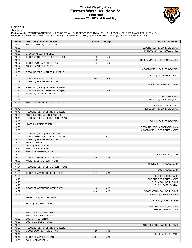### **Official Play-By-Play Eastern Wash. vs Idaho St. First Half January 25, 2022 at Reed Gym**



#### **Period 1**

<mark>Starters:</mark><br>Eastern Wash.: 2 VENTERS,STEELE (F); 10 PRICE,ETHAN (F); 11 BERGERSEN,RYLAN (G); 13 ALLEGRI,ANGELO (F); 20 ACLIESE,LINTON (F);<br>Idaho St.: 1 SORENSEN,LIAM (G); 2 COOL,TARIK (G); 5 SMELLIE,AUSTIN (G); 22 RODRIGUE

| Time           | <b>VISITORS: Eastern Wash.</b>      | <b>Score</b> | <b>Margin</b>   | HOME: Idaho St.                                   |
|----------------|-------------------------------------|--------------|-----------------|---------------------------------------------------|
| 19:43          | MISSED LAYUP by PRICE, ETHAN        |              |                 |                                                   |
| 19:37          |                                     |              |                 | REBOUND (DEF) by SORENSEN, LIAM                   |
| 19:29          |                                     |              |                 | TURNOVER by RODRIGUEZ, JARED                      |
| 19:29          | STEAL by ALLEGRI, ANGELO            |              |                 |                                                   |
| 19:22          | GOOD! 3PTR by VENTERS, STEELE [FB]  | $0 - 3$      | $V_3$           |                                                   |
| 18:56          |                                     | $2 - 3$      | V <sub>1</sub>  | GOOD! JUMPER by RODRIGUEZ, JARED                  |
| 18:27          | GOOD! LAYUP by PRICE, ETHAN         | $2 - 5$      | $V_3$           |                                                   |
| 18:27          | ASSIST by ALLEGRI, ANGELO           |              |                 |                                                   |
| 18:08          |                                     |              |                 | MISSED 3PTR by PARKER, BRAYDEN                    |
| 18:06          | REBOUND (DEF) by ALLEGRI, ANGELO    |              |                 |                                                   |
| 18:02          |                                     |              |                 | FOUL by RODRIGUEZ, JARED                          |
| 17:58          | GOOD! 3PTR by VENTERS, STEELE       | $2 - 8$      | $V_6$           |                                                   |
| 17:58          | ASSIST by BERGERSEN, RYLAN          |              |                 |                                                   |
| 17:40          |                                     |              |                 | MISSED 3PTR by COOL, TARIK                        |
| 17:38          | REBOUND (DEF) by VENTERS, STEELE    |              |                 |                                                   |
| 17:32          | GOOD! 3PTR by ALLEGRI, ANGELO [FB]  | $2 - 11$     | V <sub>9</sub>  |                                                   |
| 17:32          | ASSIST by VENTERS, STEELE           |              |                 |                                                   |
| 17:31          |                                     |              |                 | <b>TIMEOUT 30SEC</b>                              |
| 17:16          |                                     |              |                 | TURNOVER by SORENSEN, LIAM                        |
| 17:05          | MISSED 3PTR by VENTERS, STEELE      |              |                 |                                                   |
| 17:03          |                                     |              |                 | REBOUND (DEF) by TEAM                             |
| 16:42          |                                     |              |                 | MISSED 3PTR by SORENSEN, LIAM                     |
| 16:40          | REBOUND (DEF) by VENTERS, STEELE    |              |                 |                                                   |
| 16:20          | MISSED 3PTR by ALLEGRI, ANGELO      |              |                 |                                                   |
| 16:19          | REBOUND (OFF) by BERGERSEN, RYLAN   |              |                 |                                                   |
| 16:19          |                                     |              |                 | FOUL by PARKER, BRAYDEN                           |
| 16:06          | MISSED by PRICE, ETHAN              |              |                 |                                                   |
| 16:03          |                                     |              |                 | REBOUND (DEF) by SORENSEN, LIAM                   |
| 15:50          |                                     |              |                 | MISSED 3PTR by RODRIGUEZ, JARED                   |
| 15:47          | REBOUND (DEF) by PRICE, ETHAN       |              |                 |                                                   |
| 15:43          | GOOD! LAYUP by ACLIESE, LINTON [FB] | $2 - 13$     | V <sub>11</sub> |                                                   |
| 15:43          | ASSIST by BERGERSEN, RYLAN          |              |                 |                                                   |
| 15:43          | <b>TIMEOUT MEDIA</b>                |              |                 |                                                   |
| 15:33          | FOUL by PRICE, ETHAN                |              |                 |                                                   |
| 15:33          | SUB OUT: PRICE, ETHAN               |              |                 |                                                   |
| 15:33          | SUB IN: MAGNUSON, ELLIS             |              |                 |                                                   |
| 15:20          |                                     |              |                 | TURNOVER by COOL, TARIK                           |
| 15:09          | GOOD! 3PTR by VENTERS, STEELE       | $2 - 16$     | V <sub>14</sub> |                                                   |
| 15:09          | ASSIST by BERGERSEN, RYLAN          |              |                 |                                                   |
| 14:34          |                                     |              |                 | MISSED 3PTR by COOL, TARIK                        |
| 14:31<br>14:29 | REBOUND (DEF) by BERGERSEN, RYLAN   |              |                 |                                                   |
|                |                                     |              |                 | FOUL by COOL, TARIK                               |
| 14:29<br>14:29 | GOOD! FT by VENTERS, STEELE [FB]    | $2 - 17$     | V <sub>15</sub> | SUB OUT: COOL, TARIK                              |
| 14:29          |                                     |              |                 | SUB OUT: RODRIGUEZ, JARED                         |
| 14:29          |                                     |              |                 |                                                   |
| 14:29          |                                     |              |                 | SUB IN: TAYLOR III, EMMIT<br>SUB IN: CARR, DAXTON |
| 14:29          | GOOD! FT by VENTERS, STEELE [FB]    | $2 - 18$     | V <sub>16</sub> |                                                   |
| 14:07          |                                     | $5 - 18$     | V <sub>13</sub> | GOOD! 3PTR by TAYLOR III, EMMIT                   |
| 14:07          |                                     |              |                 | ASSIST by SORENSEN, LIAM                          |
| 13:51          | TURNOVER by ALLEGRI, ANGELO         |              |                 |                                                   |
| 13:51          |                                     |              |                 | STEAL by CARR, DAXTON                             |
| 13:27          | FOUL by ACLIESE, LINTON             |              |                 |                                                   |
| 13:27          |                                     |              |                 | SUB OUT: PARKER, BRAYDEN                          |
| 13:27          |                                     |              |                 | SUB IN: VISENTIN, ZACH                            |
| 13:27          | SUB OUT: BERGERSEN, RYLAN           |              |                 |                                                   |
| 13:27          | SUB OUT: ACLIESE, LINTON            |              |                 |                                                   |
| 13:27          | SUB IN: PRICE, ETHAN                |              |                 |                                                   |
| 13:27          | SUB IN: LANDDECK, MASON             |              |                 |                                                   |
| 13:23          |                                     |              |                 | MISSED 3PTR by TAYLOR III, EMMIT                  |
| 13:20          | REBOUND (DEF) by VENTERS, STEELE    |              |                 |                                                   |
| 13:16          | GOOD! LAYUP by PRICE, ETHAN         | $5 - 20$     | V <sub>15</sub> |                                                   |
| 13:16          |                                     |              |                 | FOUL by VISENTIN, ZACH                            |
| 13:16          | GOOD! FT by PRICE, ETHAN            | $5 - 21$     | V <sub>16</sub> |                                                   |
| 12:56          | FOUL by PRICE, ETHAN                |              |                 |                                                   |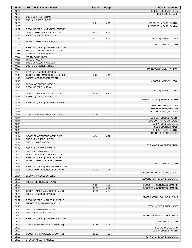| <b>Time</b>    | <b>VISITORS: Eastern Wash.</b>                               | <b>Score</b> | <b>Margin</b>   | HOME: Idaho St.                                    |
|----------------|--------------------------------------------------------------|--------------|-----------------|----------------------------------------------------|
| 12:56          |                                                              |              |                 | SUB OUT: SORENSEN, LIAM                            |
| 12:56          |                                                              |              |                 | SUB IN: COOL, TARIK                                |
| 12:56          | SUB OUT: PRICE, ETHAN                                        |              |                 |                                                    |
| 12:56<br>12:56 | SUB IN: ACLIESE, LINTON                                      | $6 - 21$     | V <sub>15</sub> | GOOD! FT by CARR, DAXTON                           |
| 12:56          |                                                              |              |                 | MISSED FT by CARR, DAXTON                          |
| 12:52          | REBOUND (DEF) by VENTERS, STEELE                             |              |                 |                                                    |
| 12:48          | GOOD! LAYUP by ACLIESE, LINTON                               | $6 - 23$     | V <sub>17</sub> |                                                    |
| 12:48          | ASSIST by MAGNUSON, ELLIS                                    |              |                 |                                                    |
| 12:27          |                                                              | $8 - 23$     | V <sub>15</sub> | GOOD! by VISENTIN, ZACH                            |
| 12:06<br>12:06 | MISSED LAYUP by ACLIESE, LINTON                              |              |                 |                                                    |
| 12:00          | REBOUND (OFF) by LANDDECK, MASON                             |              |                 | BLOCK by COOL, TARIK                               |
| 11:56          | MISSED 3PTR by LANDDECK, MASON                               |              |                 |                                                    |
| 11:56          | REBOUND (DEADB) by TEAM                                      |              |                 |                                                    |
| 11:56          | TURNOVER by TEAM                                             |              |                 |                                                    |
| 11:56          | <b>TIMEOUT MEDIA</b>                                         |              |                 |                                                    |
| 11:56          | SUB OUT: ALLEGRI, ANGELO                                     |              |                 |                                                    |
| 11:56<br>11:23 | SUB IN: BERGERSEN, RYLAN                                     |              |                 |                                                    |
| 11:23          | STEAL by LANDDECK, MASON                                     |              |                 | TURNOVER by VISENTIN, ZACH                         |
| 11:15          | GOOD! 3PTR by MAGNUSON, ELLIS [FB]                           | $8 - 26$     | V <sub>18</sub> |                                                    |
| 11:15          | ASSIST by BERGERSEN, RYLAN                                   |              |                 |                                                    |
| 10:46          |                                                              |              |                 | MISSED by VISENTIN, ZACH                           |
| 10:46          | BLOCK by VENTERS, STEELE                                     |              |                 |                                                    |
| 10:46          | REBOUND (DEF) by TEAM                                        |              |                 |                                                    |
| 10:46          |                                                              |              |                 | FOUL by VISENTIN, ZACH                             |
| 10:36<br>10:36 | GOOD! JUMPER by VENTERS, STEELE<br>ASSIST by MAGNUSON, ELLIS | $8 - 28$     | V <sub>20</sub> |                                                    |
| 10:22          |                                                              |              |                 | MISSED LAYUP by SMELLIE, AUSTIN                    |
| 10:19          | REBOUND (DEF) by VENTERS, STEELE                             |              |                 |                                                    |
| 10:14          |                                                              |              |                 | SUB OUT: VISENTIN, ZACH                            |
| 10:14          |                                                              |              |                 | SUB IN: PARKER, BRAYDEN                            |
| 10:14          |                                                              |              |                 | FOUL by PARKER, BRAYDEN                            |
| 10:14          | GOOD! FT by VENTERS, STEELE [FB]                             | $8 - 29$     | V <sub>21</sub> |                                                    |
| 10:14          |                                                              |              |                 | SUB OUT: SMELLIE, AUSTIN                           |
| 10:14<br>10:14 |                                                              |              |                 | SUB OUT: PARKER, BRAYDEN<br>SUB IN: SORENSEN, LIAM |
| 10:14          |                                                              |              |                 | SUB IN: PORTER, MALIK                              |
| 10:14          |                                                              |              |                 | SUB OUT: CARR, DAXTON                              |
| 10:14          |                                                              |              |                 | SUB IN: RODRIGUEZ, JARED                           |
| 10:14          | GOOD! FT by VENTERS, STEELE [FB]                             | $8 - 30$     | V <sub>22</sub> |                                                    |
| 10:14          | SUB OUT: ACLIESE, LINTON                                     |              |                 |                                                    |
| 10:14          | SUB IN: JONES, CASEY                                         |              |                 |                                                    |
| 09:54<br>09:54 | SUB OUT: VENTERS, STEELE                                     |              |                 | TURNOVER by PORTER, MALIK                          |
| 09:54          | SUB IN: ALLEGRI, ANGELO                                      |              |                 |                                                    |
| 09:45          | MISSED 3PTR by ALLEGRI, ANGELO                               |              |                 |                                                    |
| 09:42          | REBOUND (OFF) by ALLEGRI, ANGELO                             |              |                 |                                                    |
| 09:40          | MISSED LAYUP by ALLEGRI, ANGELO                              |              |                 |                                                    |
| 09:40          |                                                              |              |                 | BLOCK by COOL, TARIK                               |
| 09:36          | REBOUND (OFF) by BERGERSEN, RYLAN                            |              |                 |                                                    |
| 09:36<br>09:31 | GOOD! LAYUP by BERGERSEN, RYLAN                              | $8 - 32$     | V <sub>24</sub> | MISSED 3PTR by RODRIGUEZ, JARED                    |
| 09:31          | BLOCK by MAGNUSON, ELLIS                                     |              |                 |                                                    |
| 09:30          |                                                              |              |                 | REBOUND (OFF) by SORENSEN, LIAM                    |
| 09:29          | FOUL by BERGERSEN, RYLAN                                     |              |                 |                                                    |
| 09:29          |                                                              | $9 - 32$     | V <sub>23</sub> | GOOD! FT by SORENSEN, LIAM [FB]                    |
| 09:29          |                                                              | $10-32$      | V <sub>22</sub> | GOOD! FT by SORENSEN, LIAM [FB]                    |
| 08:44          | GOOD! JUMPER by LANDDECK, MASON                              | 10-34        | V <sub>24</sub> |                                                    |
| 08:36          | FOUL by LANDDECK, MASON                                      |              |                 |                                                    |
| 08:29<br>08:27 | REBOUND (DEF) by ALLEGRI, ANGELO                             |              |                 | MISSED 3PTR by TAYLOR III, EMMIT                   |
| 08:20          | TURNOVER by MAGNUSON, ELLIS                                  |              |                 |                                                    |
| 08:20          |                                                              |              |                 | STEAL by RODRIGUEZ, JARED                          |
| 08:16          | SUB OUT: MAGNUSON, ELLIS                                     |              |                 |                                                    |
| 08:16          | SUB IN: VENTERS, STEELE                                      |              |                 |                                                    |
| 08:12          |                                                              |              |                 | MISSED 3PTR by TAYLOR III, EMMIT                   |
| 08:07          | REBOUND (DEF) by LANDDECK, MASON                             |              |                 |                                                    |
| 08:07<br>08:07 |                                                              |              |                 | FOUL by COOL, TARIK                                |
| 08:07          | GOOD! FT by LANDDECK, MASON [FB]                             | $10 - 35$    | V <sub>25</sub> | SUB OUT: COOL, TARIK                               |
| 08:07          |                                                              |              |                 | SUB IN: SMELLIE, AUSTIN                            |
| 08:07          | GOOD! FT by LANDDECK, MASON [FB]                             | 10-36        | V <sub>26</sub> |                                                    |
| 08:00          |                                                              |              |                 | TURNOVER by SORENSEN, LIAM                         |
| 08:00          | STEAL by ALLEGRI, ANGELO                                     |              |                 |                                                    |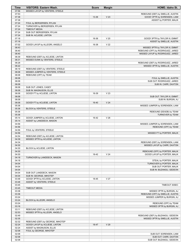| <b>Time</b>    | <b>VISITORS: Eastern Wash.</b>                                     | <b>Score</b> | <b>Margin</b>   | HOME: Idaho St.                                                  |
|----------------|--------------------------------------------------------------------|--------------|-----------------|------------------------------------------------------------------|
| 07:56          | MISSED LAYUP by VENTERS, STEELE                                    |              |                 |                                                                  |
| 07:53<br>07:38 |                                                                    | 13-36        | V <sub>23</sub> | REBOUND (DEF) by SMELLIE, AUSTIN<br>GOOD! 3PTR by SORENSEN, LIAM |
| 07:38          |                                                                    |              |                 | ASSIST by PORTER, MALIK                                          |
| 07:24          | FOUL by BERGERSEN, RYLAN                                           |              |                 |                                                                  |
| 07:24          | TURNOVER by BERGERSEN, RYLAN                                       |              |                 |                                                                  |
| 07:24          | <b>TIMEOUT MEDIA</b>                                               |              |                 |                                                                  |
| 07:24          | SUB OUT: BERGERSEN, RYLAN                                          |              |                 |                                                                  |
| 07:24          | SUB IN: ACLIESE, LINTON                                            |              |                 |                                                                  |
| 07:18<br>07:18 |                                                                    | 16-36        | V <sub>20</sub> | GOOD! 3PTR by TAYLOR III, EMMIT<br>ASSIST by SMELLIE, AUSTIN     |
| 07:02          | GOOD! LAYUP by ALLEGRI, ANGELO                                     | 16-38        | V <sub>22</sub> |                                                                  |
| 06:43          |                                                                    |              |                 | MISSED 3PTR by TAYLOR III, EMMIT                                 |
| 06:40          |                                                                    |              |                 | REBOUND (OFF) by RODRIGUEZ, JARED                                |
| 06:40          |                                                                    |              |                 | MISSED LAYUP by RODRIGUEZ, JARED                                 |
| 06:39          | REBOUND (DEF) by ACLIESE, LINTON                                   |              |                 |                                                                  |
| 06:31          | MISSED DUNK by VENTERS, STEELE                                     |              |                 |                                                                  |
| 06:28<br>06:22 |                                                                    |              |                 | REBOUND (DEF) by RODRIGUEZ, JARED                                |
| 06:19          | REBOUND (DEF) by VENTERS, STEELE                                   |              |                 | MISSED 3PTR by SMELLIE, AUSTIN                                   |
| 06:08          | MISSED JUMPER by VENTERS, STEELE                                   |              |                 |                                                                  |
| 06:08          | REBOUND (OFF) by TEAM                                              |              |                 |                                                                  |
| 06:08          |                                                                    |              |                 | FOUL by SMELLIE, AUSTIN                                          |
| 06:08          |                                                                    |              |                 | SUB OUT: RODRIGUEZ, JARED                                        |
| 06:08          |                                                                    |              |                 | SUB IN: CARR, DAXTON                                             |
| 06:08          | SUB OUT: JONES, CASEY                                              |              |                 |                                                                  |
| 06:08<br>06:08 | SUB IN: MAGNUSON, ELLIS<br>GOOD! FT by ACLIESE, LINTON             | 16-39        | V <sub>23</sub> |                                                                  |
| 06:08          |                                                                    |              |                 | SUB OUT: TAYLOR III, EMMIT                                       |
| 06:08          |                                                                    |              |                 | SUB IN: BURGIN, AJ                                               |
| 06:08          | GOOD! FT by ACLIESE, LINTON                                        | 16-40        | V <sub>24</sub> |                                                                  |
| 05:36          |                                                                    |              |                 | MISSED JUMPER by SORENSEN, LIAM                                  |
| 05:36          | BLOCK by VENTERS, STEELE                                           |              |                 |                                                                  |
| 05:36          |                                                                    |              |                 | REBOUND (DEADB) by TEAM                                          |
| 05:36<br>05:14 |                                                                    | 16-42        | V <sub>26</sub> | TURNOVER by TEAM                                                 |
| 05:14          | GOOD! JUMPER by ACLIESE, LINTON<br>ASSIST by LANDDECK, MASON       |              |                 |                                                                  |
| 04:56          |                                                                    |              |                 | MISSED JUMPER by SORENSEN, LIAM                                  |
| 04:56          |                                                                    |              |                 | REBOUND (OFF) by TEAM                                            |
| 04:56          | FOUL by VENTERS, STEELE                                            |              |                 |                                                                  |
| 04:56          |                                                                    |              |                 | MISSED FT by PORTER, MALIK                                       |
| 04:54          | REBOUND (DEF) by ACLIESE, LINTON                                   |              |                 |                                                                  |
| 04:39          | MISSED 3PTR by ACLIESE, LINTON                                     |              |                 |                                                                  |
| 04:34<br>04:30 |                                                                    |              |                 | REBOUND (DEF) by SORENSEN, LIAM<br>MISSED LAYUP by CARR, DAXTON  |
| 04:30          | BLOCK by ACLIESE, LINTON                                           |              |                 |                                                                  |
| 04:30          |                                                                    |              |                 | REBOUND (OFF) by PORTER, MALIK                                   |
| 04:30          |                                                                    | 18-42        | V <sub>24</sub> | GOOD! LAYUP by PORTER, MALIK                                     |
| 04:18          | TURNOVER by LANDDECK, MASON                                        |              |                 |                                                                  |
| 04:18          |                                                                    |              |                 | STEAL by PORTER, MALIK                                           |
| 04:04          |                                                                    |              |                 | TURNOVER by PORTER, MALIK                                        |
| 04:04<br>04:04 |                                                                    |              |                 | SUB OUT: PORTER, MALIK<br>SUB IN: BUZANGU, GEDEON                |
| 04:04          | SUB OUT: LANDDECK, MASON                                           |              |                 |                                                                  |
| 04:04          | SUB IN: GEORGE, IMHOTEP                                            |              |                 |                                                                  |
| 03:48          | GOOD! 3PTR by ACLIESE, LINTON                                      | 18-45        | V <sub>27</sub> |                                                                  |
| 03:48          | ASSIST by VENTERS, STEELE                                          |              |                 |                                                                  |
| 03:45          |                                                                    |              |                 | TIMEOUT 30SEC                                                    |
| 03:45          | <b>TIMEOUT MEDIA</b>                                               |              |                 |                                                                  |
| 03:38<br>03:36 |                                                                    |              |                 | MISSED 3PTR by BURGIN, AJ                                        |
| 03:24          |                                                                    |              |                 | REBOUND (OFF) by SMELLIE, AUSTIN<br>MISSED JUMPER by BURGIN, AJ  |
| 03:24          | BLOCK by ALLEGRI, ANGELO                                           |              |                 |                                                                  |
| 03:24          |                                                                    |              |                 | REBOUND (OFF) by TEAM                                            |
| 03:16          |                                                                    |              |                 | MISSED 3PTR by BURGIN, AJ                                        |
| 03:11          | REBOUND (DEF) by ACLIESE, LINTON                                   |              |                 |                                                                  |
| 02:53          | MISSED 3PTR by ALLEGRI, ANGELO                                     |              |                 |                                                                  |
| 02:49          |                                                                    |              |                 | REBOUND (DEF) by BUZANGU, GEDEON                                 |
| 02:35<br>02:32 |                                                                    |              |                 | MISSED 3PTR by SMELLIE, AUSTIN                                   |
| 02:24          | REBOUND (DEF) by GEORGE, IMHOTEP<br>GOOD! LAYUP by ACLIESE, LINTON | 18-47        | V <sub>29</sub> |                                                                  |
| 02:24          | ASSIST by MAGNUSON, ELLIS                                          |              |                 |                                                                  |
| 02:08          | FOUL by GEORGE, IMHOTEP                                            |              |                 |                                                                  |
| 02:08          |                                                                    |              |                 | SUB OUT: SORENSEN, LIAM                                          |
| 02:08          |                                                                    |              |                 | SUB OUT: CARR, DAXTON                                            |
| 02:08          |                                                                    |              |                 | SUB OUT: BUZANGU, GEDEON                                         |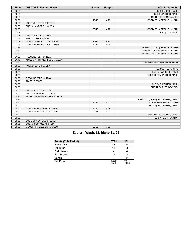| <b>Time</b> | <b>VISITORS: Eastern Wash.</b> | <b>Score</b> | <b>Margin</b>   | HOME: Idaho St.                   |
|-------------|--------------------------------|--------------|-----------------|-----------------------------------|
| 02:08       |                                |              |                 | SUB IN: COOL, TARIK               |
| 02:08       |                                |              |                 | SUB IN: PORTER, MALIK             |
| 02:08       |                                |              |                 | SUB IN: RODRIGUEZ, JARED          |
| 02:08       |                                | 19-47        | V <sub>28</sub> | GOOD! FT by SMELLIE, AUSTIN       |
| 02:08       | SUB OUT: VENTERS, STEELE       |              |                 |                                   |
| 02:08       | SUB IN: LANDDECK, MASON        |              |                 |                                   |
| 02:08       |                                | 20-47        | V <sub>27</sub> | GOOD! FT by SMELLIE, AUSTIN       |
| 01:59       |                                |              |                 | FOUL by BURGIN, AJ                |
| 01:59       | SUB OUT: ACLIESE, LINTON       |              |                 |                                   |
| 01:59       | SUB IN: JONES, CASEY           |              |                 |                                   |
| 01:59       | GOOD! FT by LANDDECK, MASON    | $20 - 48$    | V <sub>28</sub> |                                   |
| 01:59       | GOOD! FT by LANDDECK, MASON    | 20-49        | V <sub>29</sub> |                                   |
| 01:36       |                                |              |                 | MISSED LAYUP by SMELLIE, AUSTIN   |
| 01:33       |                                |              |                 | REBOUND (OFF) by SMELLIE, AUSTIN  |
| 01:33       |                                |              |                 | MISSED LAYUP by SMELLIE, AUSTIN   |
| 01:33       | REBOUND (DEF) by TEAM          |              |                 |                                   |
| 01:13       | MISSED 3PTR by LANDDECK, MASON |              |                 |                                   |
| 01:10       |                                |              |                 | REBOUND (DEF) by PORTER, MALIK    |
| 00:59       | FOUL by JONES, CASEY           |              |                 |                                   |
| 00:59       |                                |              |                 | SUB OUT: BURGIN, AJ               |
| 00:59       |                                |              |                 | SUB IN: TAYLOR III, EMMIT         |
| 00:59       |                                |              |                 | MISSED FT by PORTER, MALIK        |
| 00:59       | REBOUND (DEF) by TEAM          |              |                 |                                   |
| 00:56       | TIMEOUT 30SEC                  |              |                 |                                   |
| 00:56       |                                |              |                 | SUB OUT: PORTER, MALIK            |
| 00:56       |                                |              |                 | SUB IN: PARKER, BRAYDEN           |
| 00:56       | SUB IN: VENTERS, STEELE        |              |                 |                                   |
| 00:56       | SUB OUT: GEORGE, IMHOTEP       |              |                 |                                   |
| 00:37       | MISSED 3PTR by VENTERS, STEELE |              |                 |                                   |
| 00:34       |                                |              |                 | REBOUND (DEF) by RODRIGUEZ, JARED |
| 00:10       |                                | 22-49        | V <sub>27</sub> | GOOD! LAYUP by COOL, TARIK        |
| 00:00       |                                |              |                 | FOUL by RODRIGUEZ, JARED          |
| 00:00       | GOOD! FT by ALLEGRI, ANGELO    | 22-50        | V <sub>28</sub> |                                   |
| 00:00       | GOOD! FT by ALLEGRI, ANGELO    | 22-51        | V <sub>29</sub> |                                   |
| 00:00       |                                |              |                 | SUB OUT: RODRIGUEZ, JARED         |
| 00:00       |                                |              |                 | SUB IN: CARR, DAXTON              |
| 00:00       | SUB OUT: VENTERS, STEELE       |              |                 |                                   |
| 00:00       | SUB IN: GEORGE, IMHOTEP        |              |                 |                                   |
| 00:00       | GOOD! FT by ALLEGRI, ANGELO    | $22 - 52$    | V30             |                                   |

# **Eastern Wash. 52, Idaho St. 22**

| <b>Points (This Period)</b> | <b>EWU</b>     | <b>ISU</b>     |
|-----------------------------|----------------|----------------|
| In the Paint                | 16             |                |
| Off Turns                   | 16             |                |
| 2nd Chance                  |                |                |
| <b>Fast Break</b>           | 17             |                |
| Bench                       | 9              |                |
| Per Poss                    | 1.368<br>23/38 | 0.611<br>10/36 |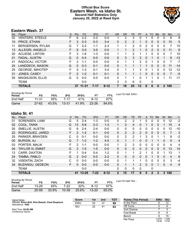# **Official Box Score Eastern Wash. vs Idaho St. Second Half Statistics Only January 25, 2022 at Reed Gym**



# **Eastern Wash. 37**

| No. | Plaver                  | S  | <b>Pts</b>    | FG.       | 3FG      | FT.      | <b>OR</b> | <b>DR</b> | <b>TR</b>      | <b>PF</b> | A        | TO.           | <b>Blk</b>   | Stl          | <b>Min</b>     | $+/-$ |
|-----|-------------------------|----|---------------|-----------|----------|----------|-----------|-----------|----------------|-----------|----------|---------------|--------------|--------------|----------------|-------|
| 02  | <b>VENTERS, STEELE</b>  | F  | 6             | $2 - 2$   | $2 - 2$  | $0 - 0$  |           | 2         | 3              | 0         |          | 0             | $\Omega$     | 0            | 8              | 8     |
| 10  | PRICE, ETHAN            | F. | 3             | $0 - 3$   | $0 - 3$  | $3 - 4$  | 0         | 2         | 2              |           | 0        | $\mathbf{0}$  | $\mathbf{0}$ | $\mathbf{0}$ | 10             | 5     |
| 11  | <b>BERGERSEN, RYLAN</b> | G  |               | $2 - 2$   | $1 - 1$  | $2 - 3$  |           | 1         | $\overline{2}$ | 0         | 2        | 0             | $\mathbf 0$  | 0            | 7              | 10    |
| 13  | ALLEGRI, ANGELO         | F  | 9             | $3 - 5$   | $3 - 5$  | $0 - 0$  |           | 1         | $\overline{2}$ | 1         | 0        | $\mathcal{P}$ | $\mathbf{0}$ | $\mathbf{0}$ | 11             | 8     |
| 20  | <b>ACLIESE, LINTON</b>  | F  | 3             | $1 - 6$   | $1 - 3$  | $0 - 0$  |           | 1         | $\overline{2}$ |           |          | 0             | $\Omega$     | 0            | 7              | 10    |
| 01  | FADAL, AUSTIN           | G  | $\Omega$      | $0 - 4$   | $0 - 0$  | $0 - 0$  | 0         | 3         | 3              | 3         | 0        |               | 0            |              | 9              | $-12$ |
| 21  | RADOCAJ, VICTOR         | F  | 2             | $1 - 1$   | $0 - 0$  | $0 - 0$  | 0         | 1         |                | 2         | 0        |               | 0            | 0            | 7              | $-7$  |
| 24  | LANDDECK, MASON         | G  | $\Omega$      | $0 - 3$   | $0 - 1$  | $0 - 0$  | $\Omega$  | 1         |                |           |          | $\Omega$      | $\Omega$     | $\Omega$     | 11             | $-14$ |
| 25  | <b>GEORGE, IMHOTEP</b>  | F. | 5             | $1 - 3$   | $0 - 1$  | $3 - 4$  | 0         | 1         |                | 3         | $\Omega$ |               | 0            | 0            | 12             | $-12$ |
| 31  | JONES, CASEY            | F. | $\mathcal{P}$ | $1 - 2$   | $0 - 1$  | $0 - 1$  | 0         | 1         |                | 1         | 0        | $\Omega$      | $\Omega$     | $\Omega$     | $\overline{7}$ | $-5$  |
| 55  | <b>MAGNUSON, ELLIS</b>  | G  | 0             | $0 - 0$   | $0 - 0$  | $0 - 0$  | 0         |           |                | 0         |          |               | $\Omega$     |              | 11             | $-11$ |
|     | <b>TEAM</b>             |    |               | $0-0$     |          |          | 3         | 3         | 6              | 0         |          | 0             |              |              |                |       |
|     | <b>TOTALS</b>           |    | 37            | $11 - 31$ | $7 - 17$ | $8 - 12$ | 7         | 18        | 25             | 13        | 6        | 6             | $\bf{0}$     |              | 2 100          |       |

| <b>Shooting By Period</b><br><b>Period</b> | FG        | FG%   | 3FG       | 3FG%      | FT.   | FT%   | Last FG Half: EWU - |
|--------------------------------------------|-----------|-------|-----------|-----------|-------|-------|---------------------|
| 2nd Half                                   | $11 - 31$ | 35%   | 7-17      | 41%       | 8-12  | 67%   |                     |
| Game                                       | $27 - 62$ | 43.5% | $13 - 31$ | $-41.9\%$ | 22-26 | 84.6% |                     |

# **Idaho St. 41**

| No. | Player                   | S  | <b>Pts</b>    | FG        | 3FG      | <b>FT</b> | <b>OR</b>    | DR. | TR.          | PF            | A        | TO           | <b>Blk</b>   | Stl      | Min            | $+/-$ |
|-----|--------------------------|----|---------------|-----------|----------|-----------|--------------|-----|--------------|---------------|----------|--------------|--------------|----------|----------------|-------|
| 01  | SORENSEN, LIAM           | G  | 5             | $2 - 4$   | 1-3      | $0-0$     | 0            | 2   | 2            |               | 0        | 0            | 0            | 0        | 12             | $-2$  |
| 02  | COOL, TARIK              | G  | 13            | $5-6$     | $2 - 3$  | $1 - 3$   | $\mathbf 1$  | 3   | 4            | 0             |          | 0            | 0            |          | 15             | 4     |
| 05  | SMELLIE, AUSTIN          | G  | 6             | $2 - 4$   | $2 - 4$  | $0-0$     | 0            | 0   | 0            | 0             | 0        | 0            | 0            | 0        | 12             | $-10$ |
| 22  | RODRIGUEZ, JARED         | F  | $\mathcal{P}$ | $1 - 2$   | $0 - 1$  | $0 - 0$   | 0            | 2   | 2            | 2             | 0        | 0            | $\mathbf{0}$ | 0        |                | 3     |
| 25  | PARKER, BRAYDEN          | С  | 0             | $0 - 1$   | $0 - 0$  | $0 - 0$   | $\mathbf{0}$ | 2   | 2            |               | 3        | 0            |              |          | 9              | $-2$  |
| 00  | <b>BURGIN, AJ</b>        | G  | 7             | $1 - 2$   | $1 - 2$  | $4 - 5$   | $\Omega$     | 1   | 1            | $\Omega$      | 0        |              |              | 0        | 5              | 4     |
| 03  | PORTER, MALIK            | F  | 2             | $1 - 1$   | $0 - 0$  | $0 - 0$   | $\mathbf{1}$ | 2   | 3            | 0             | 0        | 0            | $\Omega$     | $\Omega$ | 4              | 4     |
| 04  | <b>TAYLOR III, EMMIT</b> | G  | 3             | $1 - 5$   | $1 - 5$  | $0 - 0$   | $\Omega$     | 0   | $\mathbf{0}$ | $\Omega$      | $\Omega$ | 0            | $\mathbf{0}$ | $\Omega$ | 13             | 10    |
| 13  | CARR, DAXTON             | F  | 1             | $0 - 4$   | $0 - 4$  | $1 - 2$   | $\Omega$     | 1   | 1            | $\mathcal{P}$ | 1        | 0            | $\Omega$     | 1        | 13             | 1     |
| 24  | TAMBA, PABLO             | G  | $\mathcal{P}$ | $0 - 0$   | $0 - 0$  | $2 - 2$   | $\mathbf{0}$ | 0   | $\mathbf{0}$ | $\Omega$      | 0        |              | $\Omega$     | 0        | $\overline{4}$ | 6     |
| 32  | <b>VISENTIN, ZACH</b>    | С  | 0             | $0 - 0$   | $0 - 0$  | $0 - 0$   | $\Omega$     | 1   | 1.           |               | $\Omega$ | 0            | $\Omega$     | $\Omega$ | 3              | $-4$  |
| 34  | <b>BUZANGU, GEDEON</b>   | F. | $\Omega$      | $0 - 0$   | $0 - 0$  | $0 - 0$   | $\mathbf{0}$ |     |              | $\mathcal{P}$ | $\Omega$ | $\Omega$     |              | $\Omega$ | $\overline{4}$ | 6     |
|     | <b>TEAM</b>              |    |               | $0 - 0$   |          |           | $\Omega$     | 0   | 0            | $\Omega$      |          | 0            |              |          |                |       |
|     | <b>TOTALS</b>            |    | 41            | $13 - 29$ | $7 - 22$ | $8 - 12$  | $\mathbf 2$  | 15  | 17           | 9             | 5        | $\mathbf{2}$ | 3            | 3        | 100            |       |

| <b>Shooting By Period</b><br>Period | FG        | FG%   | 3FG       | 3FG%  | FТ        | FT%   | Last FG Half: ISU - |
|-------------------------------------|-----------|-------|-----------|-------|-----------|-------|---------------------|
| 2nd Half                            | $13 - 29$ | 45%   | 7-22      | 32%   | 8-12      | 67%   |                     |
| Game                                | $20 - 59$ | 33.9% | $10 - 39$ | 25.6% | $13 - 20$ | 65.0% |                     |

| Game Notes:                                                             | <b>Score</b> | 1st | 2 <sub>nd</sub> | <b>TOT</b> | <b>Points (This Period)</b> | <b>EWU</b>     | <b>ISU</b>     |
|-------------------------------------------------------------------------|--------------|-----|-----------------|------------|-----------------------------|----------------|----------------|
| Officials: Kevin Brill, Rick Batsell, Chad Shepherd<br>Attendance: 1042 | EWU          | 52  | 37              | 89         | In the Paint                |                |                |
|                                                                         | <b>ISU</b>   | 22  | 41              | 63         | Off Turns                   |                |                |
| Start Time: 02:00 AM                                                    |              |     |                 |            | 2nd Chance                  |                |                |
| Conference Game:                                                        |              |     |                 |            | <b>Fast Break</b>           |                |                |
|                                                                         |              |     |                 |            | Bench                       |                | 15             |
|                                                                         |              |     |                 |            | Per Poss                    | 0.974<br>15/38 | 1.206<br>17/34 |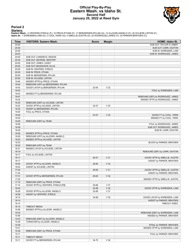### **Official Play-By-Play Eastern Wash. vs Idaho St. Second Half January 25, 2022 at Reed Gym**



#### **Period 2**

<mark>Starters:</mark><br>Eastern Wash.: 2 VENTERS,STEELE (F); 10 PRICE,ETHAN (F); 11 BERGERSEN,RYLAN (G); 13 ALLEGRI,ANGELO (F); 20 ACLIESE,LINTON (F);<br>Idaho St.: 1 SORENSEN,LIAM (G); 2 COOL,TARIK (G); 5 SMELLIE,AUSTIN (G); 22 RODRIGUE

| Time  | <b>VISITORS: Eastern Wash.</b>     | <b>Score</b> | <b>Margin</b>   | <b>HOME: Idaho St.</b>            |
|-------|------------------------------------|--------------|-----------------|-----------------------------------|
| 20:00 |                                    |              |                 | SUB OUT: TAYLOR III, EMMIT        |
| 20:00 |                                    |              |                 | SUB OUT: CARR, DAXTON             |
| 20:00 |                                    |              |                 | SUB IN: SORENSEN, LIAM            |
| 20:00 |                                    |              |                 | SUB IN: RODRIGUEZ, JARED          |
| 20:00 | SUB OUT: LANDDECK, MASON           |              |                 |                                   |
| 20:00 | SUB OUT: GEORGE, IMHOTEP           |              |                 |                                   |
| 20:00 | SUB OUT: JONES, CASEY              |              |                 |                                   |
| 20:00 | SUB OUT: MAGNUSON, ELLIS           |              |                 |                                   |
| 20:00 | SUB IN: VENTERS, STEELE            |              |                 |                                   |
| 20:00 | SUB IN: PRICE, ETHAN               |              |                 |                                   |
| 20:00 | SUB IN: BERGERSEN, RYLAN           |              |                 |                                   |
| 20:00 | SUB IN: ACLIESE, LINTON            |              |                 |                                   |
| 19:46 | MISSED 3PTR by PRICE, ETHAN        |              |                 |                                   |
| 19:44 | REBOUND (OFF) by BERGERSEN, RYLAN  |              |                 |                                   |
| 19:43 | GOOD! LAYUP by BERGERSEN, RYLAN    | 22-54        | V <sub>32</sub> |                                   |
| 19:43 |                                    |              |                 | FOUL by SORENSEN, LIAM            |
| 19:43 | MISSED FT by BERGERSEN, RYLAN      |              |                 |                                   |
| 19:41 |                                    |              |                 | REBOUND (DEF) by RODRIGUEZ, JARED |
| 19:34 |                                    |              |                 | MISSED 3PTR by RODRIGUEZ, JARED   |
| 19:30 | REBOUND (DEF) by ACLIESE, LINTON   |              |                 |                                   |
| 19:22 | GOOD! 3PTR by ACLIESE, LINTON      | 22-57        | V <sub>35</sub> |                                   |
| 19:22 | ASSIST by BERGERSEN, RYLAN         |              |                 |                                   |
| 19:05 | FOUL by PRICE, ETHAN               |              |                 |                                   |
| 19:05 |                                    | 23-57        | V34             | GOOD! FT by COOL, TARIK           |
| 19:05 |                                    |              |                 | MISSED FT by COOL, TARIK          |
| 19:00 | REBOUND (DEF) by TEAM              |              |                 |                                   |
| 18:59 |                                    |              |                 | FOUL by RODRIGUEZ, JARED          |
| 18:39 |                                    |              |                 | SUB OUT: RODRIGUEZ, JARED         |
| 18:39 |                                    |              |                 | SUB IN: CARR, DAXTON              |
| 18:30 | MISSED 3PTR by PRICE, ETHAN        |              |                 |                                   |
| 18:28 | REBOUND (OFF) by ALLEGRI, ANGELO   |              |                 |                                   |
| 18:23 | MISSED 3PTR by ACLIESE, LINTON     |              |                 |                                   |
| 18:23 |                                    |              |                 | BLOCK by PARKER, BRAYDEN          |
| 18:22 | REBOUND (OFF) by TEAM              |              |                 |                                   |
| 18:21 | MISSED LAYUP by ACLIESE, LINTON    |              |                 |                                   |
| 18:19 |                                    |              |                 | REBOUND (DEF) by CARR, DAXTON     |
| 18:17 | FOUL by ACLIESE, LINTON            |              |                 |                                   |
| 18:17 |                                    | 26-57        | V <sub>31</sub> | GOOD! 3PTR by SMELLIE, AUSTIN     |
| 18:17 |                                    |              |                 | ASSIST by PARKER, BRAYDEN         |
| 18:04 | GOOD! 3PTR by ALLEGRI, ANGELO      | 26-60        | V <sub>34</sub> |                                   |
| 18:04 | ASSIST by ACLIESE, LINTON          |              |                 |                                   |
| 17:44 |                                    | 29-60        | V <sub>31</sub> | GOOD! 3PTR by SMELLIE, AUSTIN     |
| 17:44 |                                    |              |                 | ASSIST by PARKER, BRAYDEN         |
| 17:31 | GOOD! 3PTR by BERGERSEN, RYLAN     | 29-63        | V <sub>34</sub> |                                   |
| 17:20 |                                    |              |                 | MISSED 3PTR by SMELLIE, AUSTIN    |
| 17:15 | REBOUND (DEF) by PRICE, ETHAN      |              |                 |                                   |
| 17:14 | GOOD! 3PTR by VENTERS, STEELE [FB] | 29-66        | V 37            |                                   |
| 16:42 |                                    | 32-66        | V34             | GOOD! 3PTR by SORENSEN, LIAM      |
| 16:28 | GOOD! 3PTR by ALLEGRI, ANGELO      | 32-69        | V 37            |                                   |
| 16:28 | ASSIST by VENTERS, STEELE          |              |                 |                                   |
| 16:14 |                                    | 34-69        | V <sub>35</sub> | GOOD! LAYUP by SORENSEN, LIAM     |
| 16:14 |                                    |              |                 | ASSIST by PARKER, BRAYDEN         |
| 16:14 |                                    |              |                 | TIMEOUT 30SEC                     |
| 16:14 | <b>TIMEOUT MEDIA</b>               |              |                 |                                   |
| 15:56 | MISSED 3PTR by ALLEGRI, ANGELO     |              |                 |                                   |
| 15:53 |                                    |              |                 | REBOUND (DEF) by SORENSEN, LIAM   |
| 15:46 |                                    |              |                 | MISSED by PARKER, BRAYDEN         |
| 15:43 | REBOUND (DEF) by ALLEGRI, ANGELO   |              |                 |                                   |
| 15:38 | TURNOVER by ALLEGRI, ANGELO        |              |                 |                                   |
| 15:38 |                                    |              |                 | STEAL by PARKER, BRAYDEN          |
| 15:31 |                                    |              |                 | MISSED 3PTR by SORENSEN, LIAM     |
| 15:29 | REBOUND (DEF) by PRICE, ETHAN      |              |                 |                                   |
| 15:11 |                                    |              |                 | FOUL by PARKER, BRAYDEN           |
| 15:11 | <b>TIMEOUT MEDIA</b>               |              |                 |                                   |
| 15:11 | GOOD! FT by BERGERSEN, RYLAN       | 34-70        | V36             |                                   |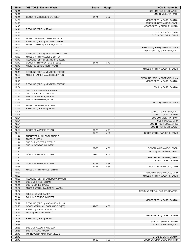| Time           | <b>VISITORS: Eastern Wash.</b>     | <b>Score</b> | <b>Margin</b>   | HOME: Idaho St.                  |
|----------------|------------------------------------|--------------|-----------------|----------------------------------|
| 15:11          |                                    |              |                 | SUB OUT: PARKER, BRAYDEN         |
| 15:11          |                                    |              |                 | SUB IN: VISENTIN, ZACH           |
| 15:11          | GOOD! FT by BERGERSEN, RYLAN       | $34 - 71$    | V 37            |                                  |
| 14:51          |                                    |              |                 | MISSED 3PTR by CARR, DAXTON      |
| 14:49<br>14:43 |                                    |              |                 | REBOUND (OFF) by COOL, TARIK     |
| 14:41          | REBOUND (DEF) by TEAM              |              |                 | MISSED 3PTR by SMELLIE, AUSTIN   |
| 14:41          |                                    |              |                 | SUB OUT: COOL, TARIK             |
| 14:41          |                                    |              |                 | SUB IN: TAYLOR III, EMMIT        |
| 14:25          | MISSED 3PTR by ALLEGRI, ANGELO     |              |                 |                                  |
| 14:21          | REBOUND (OFF) by ACLIESE, LINTON   |              |                 |                                  |
| 14:21          | MISSED LAYUP by ACLIESE, LINTON    |              |                 |                                  |
| 14:20          |                                    |              |                 | REBOUND (DEF) by VISENTIN, ZACH  |
| 14:07          |                                    |              |                 | MISSED 3PTR by SORENSEN, LIAM    |
| 14:02          | REBOUND (DEF) by BERGERSEN, RYLAN  |              |                 |                                  |
| 13:53          | MISSED 3PTR by ACLIESE, LINTON     |              |                 |                                  |
| 13:49          | REBOUND (OFF) by VENTERS, STEELE   |              |                 |                                  |
| 13:42          | GOOD! 3PTR by VENTERS, STEELE      | 34-74        | $V$ 40          |                                  |
| 13:42          | ASSIST by BERGERSEN, RYLAN         |              |                 |                                  |
| 13:21          |                                    |              |                 | MISSED 3PTR by TAYLOR III, EMMIT |
| 13:19          | REBOUND (DEF) by VENTERS, STEELE   |              |                 |                                  |
| 13:03          | MISSED JUMPER by ACLIESE, LINTON   |              |                 |                                  |
| 13:00          |                                    |              |                 | REBOUND (DEF) by SORENSEN, LIAM  |
| 12:49          |                                    |              |                 | MISSED 3PTR by CARR, DAXTON      |
| 12:46<br>12:34 | REBOUND (DEF) by VENTERS, STEELE   |              |                 |                                  |
| 12:34          | SUB OUT: BERGERSEN, RYLAN          |              |                 | FOUL by CARR, DAXTON             |
| 12:34          | SUB OUT: ACLIESE, LINTON           |              |                 |                                  |
| 12:34          | SUB IN: LANDDECK, MASON            |              |                 |                                  |
| 12:34          | SUB IN: MAGNUSON, ELLIS            |              |                 |                                  |
| 12:24          |                                    |              |                 | FOUL by VISENTIN, ZACH           |
| 12:24          | MISSED FT by PRICE, ETHAN          |              |                 |                                  |
| 12:24          | REBOUND (DEADB) by TEAM            |              |                 |                                  |
| 12:24          |                                    |              |                 | SUB OUT: SORENSEN, LIAM          |
| 12:24          |                                    |              |                 | SUB OUT: CARR, DAXTON            |
| 12:24          |                                    |              |                 | SUB OUT: VISENTIN, ZACH          |
| 12:24          |                                    |              |                 | SUB IN: COOL, TARIK              |
| 12:24          |                                    |              |                 | SUB IN: RODRIGUEZ, JARED         |
| 12:24          |                                    |              |                 | SUB IN: PARKER, BRAYDEN          |
| 12:24          | GOOD! FT by PRICE, ETHAN           | 34-75        | $V$ 41          |                                  |
| 12:03<br>11:44 | TURNOVER by ALLEGRI, ANGELO        | 37-75        | V 38            | GOOD! 3PTR by TAYLOR III, EMMIT  |
| 11:44          | <b>TIMEOUT MEDIA</b>               |              |                 |                                  |
| 11:44          | SUB OUT: VENTERS, STEELE           |              |                 |                                  |
| 11:44          | SUB IN: GEORGE, IMHOTEP            |              |                 |                                  |
| 11:19          |                                    | 39-75        | V36             | GOOD! LAYUP by COOL, TARIK       |
| 11:10          |                                    |              |                 | FOUL by RODRIGUEZ, JARED         |
| 11:10          | GOOD! FT by PRICE, ETHAN           | 39-76        | V 37            |                                  |
| 11:10          |                                    |              |                 | SUB OUT: RODRIGUEZ, JARED        |
| 11:10          |                                    |              |                 | SUB IN: CARR, DAXTON             |
| 11:10          | GOOD! FT by PRICE, ETHAN           | 39-77        | V38             |                                  |
| 10:58          |                                    | 42-77        | V <sub>35</sub> | GOOD! 3PTR by COOL, TARIK        |
| 10:40          | MISSED 3PTR by PRICE, ETHAN        |              |                 |                                  |
| 10:37          |                                    |              |                 | REBOUND (DEF) by COOL, TARIK     |
| 10:26          |                                    |              |                 | MISSED 3PTR by TAYLOR III, EMMIT |
| 10:23          | REBOUND (DEF) by LANDDECK, MASON   |              |                 |                                  |
| 10:11          | SUB OUT: PRICE, ETHAN              |              |                 |                                  |
| 10:11          | SUB IN: JONES, CASEY               |              |                 |                                  |
| 09:57<br>09:57 | MISSED 3PTR by LANDDECK, MASON     |              |                 | REBOUND (DEF) by PARKER, BRAYDEN |
| 09:57          | FOUL by JONES, CASEY               |              |                 |                                  |
| 09:44          | FOUL by GEORGE, IMHOTEP            |              |                 |                                  |
| 09:30          |                                    |              |                 | MISSED 3PTR by CARR, DAXTON      |
| 09:27          | REBOUND (DEF) by MAGNUSON, ELLIS   |              |                 |                                  |
| 09:23          | GOOD! 3PTR by ALLEGRI, ANGELO [FB] | 42-80        | V <sub>38</sub> |                                  |
| 09:23          | ASSIST by MAGNUSON, ELLIS          |              |                 |                                  |
| 09:18          | FOUL by ALLEGRI, ANGELO            |              |                 |                                  |
| 08:59          |                                    |              |                 | MISSED 3PTR by CARR, DAXTON      |
| 08:58          | REBOUND (DEF) by TEAM              |              |                 |                                  |
| 08:58          |                                    |              |                 | SUB OUT: SMELLIE, AUSTIN         |
| 08:58          |                                    |              |                 | SUB IN: SORENSEN, LIAM           |
| 08:58          | SUB OUT: ALLEGRI, ANGELO           |              |                 |                                  |
| 08:58          | SUB IN: FADAL, AUSTIN              |              |                 |                                  |
| 08:49          | TURNOVER by MAGNUSON, ELLIS        |              |                 |                                  |
| 08:49          |                                    |              |                 | STEAL by CARR, DAXTON            |
| 08:43          |                                    | 44-80        | V36             | GOOD! LAYUP by COOL, TARIK [FB]  |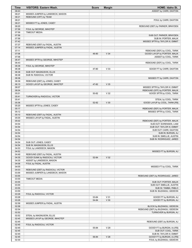| Time           | <b>VISITORS: Eastern Wash.</b>                  | <b>Score</b> | <b>Margin</b>   | <b>HOME: Idaho St.</b>                                |
|----------------|-------------------------------------------------|--------------|-----------------|-------------------------------------------------------|
| 08:43          |                                                 |              |                 | ASSIST by CARR, DAXTON                                |
| 08:21          | MISSED JUMPER by LANDDECK, MASON                |              |                 |                                                       |
| 08:21          | REBOUND (OFF) by TEAM                           |              |                 |                                                       |
| 08:21          |                                                 |              |                 | FOUL by CARR, DAXTON                                  |
| 08:21          | MISSED FT by JONES, CASEY                       |              |                 |                                                       |
| 08:20          |                                                 |              |                 | REBOUND (DEF) by PARKER, BRAYDEN                      |
| 07:56<br>07:56 | FOUL by GEORGE, IMHOTEP<br><b>TIMEOUT MEDIA</b> |              |                 |                                                       |
| 07:56          |                                                 |              |                 | SUB OUT: PARKER, BRAYDEN                              |
| 07:56          |                                                 |              |                 | SUB IN: PORTER, MALIK                                 |
| 07:42          |                                                 |              |                 | MISSED 3PTR by TAYLOR III, EMMIT                      |
| 07:37          | REBOUND (DEF) by FADAL, AUSTIN                  |              |                 |                                                       |
| 07:14          | MISSED JUMPER by FADAL, AUSTIN                  |              |                 |                                                       |
| 07:11          |                                                 |              |                 | REBOUND (DEF) by COOL, TARIK                          |
| 07:06          |                                                 | 46-80        | V <sub>34</sub> | GOOD! LAYUP by PORTER, MALIK                          |
| 07:06          |                                                 |              |                 | ASSIST by COOL, TARIK                                 |
| 06:47          | MISSED 3PTR by GEORGE, IMHOTEP                  |              |                 |                                                       |
| 06:43          |                                                 |              |                 | REBOUND (DEF) by COOL, TARIK                          |
| 06:38          | FOUL by GEORGE, IMHOTEP                         |              |                 |                                                       |
| 06:38          |                                                 | 47-80        | V <sub>33</sub> | GOOD! FT by CARR, DAXTON                              |
| 06:38<br>06:38 | SUB OUT: MAGNUSON, ELLIS                        |              |                 |                                                       |
| 06:38          | SUB IN: RADOCAJ, VICTOR                         |              |                 | MISSED FT by CARR, DAXTON                             |
| 06:36          | REBOUND (DEF) by JONES, CASEY                   |              |                 |                                                       |
| 06:15          | GOOD! LAYUP by GEORGE, IMHOTEP                  | 47-82        | V <sub>35</sub> |                                                       |
| 06:07          |                                                 |              |                 | MISSED 3PTR by TAYLOR III, EMMIT                      |
| 06:04          |                                                 |              |                 | REBOUND (OFF) by PORTER, MALIK                        |
| 05:51          |                                                 | 50-82        | V <sub>32</sub> | GOOD! 3PTR by COOL, TARIK                             |
| 05:41          | TURNOVER by RADOCAJ, VICTOR                     |              |                 |                                                       |
| 05:41          |                                                 |              |                 | STEAL by COOL, TARIK                                  |
| 05:36          |                                                 | 52-82        | V <sub>30</sub> | GOOD! LAYUP by COOL, TARIK [FB]                       |
| 05:20          | MISSED 3PTR by JONES, CASEY                     |              |                 |                                                       |
| 05:17          |                                                 |              |                 | REBOUND (DEF) by PORTER, MALIK                        |
| 05:12          |                                                 |              |                 | MISSED 3PTR by COOL, TARIK                            |
| 05:10          | REBOUND (DEF) by FADAL, AUSTIN                  |              |                 |                                                       |
| 05:05          | MISSED LAYUP by FADAL, AUSTIN                   |              |                 |                                                       |
| 05:02<br>04:54 |                                                 |              |                 | REBOUND (DEF) by PORTER, MALIK                        |
| 04:54          |                                                 |              |                 | SUB OUT: SORENSEN, LIAM<br>SUB OUT: TAYLOR III, EMMIT |
| 04:54          |                                                 |              |                 | SUB OUT: CARR, DAXTON                                 |
| 04:54          |                                                 |              |                 | SUB IN: BURGIN, AJ                                    |
| 04:54          |                                                 |              |                 | SUB IN: SMELLIE, AUSTIN                               |
| 04:54          |                                                 |              |                 | SUB IN: RODRIGUEZ, JARED                              |
| 04:54          | SUB OUT: JONES, CASEY                           |              |                 |                                                       |
| 04:54          | SUB IN: MAGNUSON, ELLIS                         |              |                 |                                                       |
| 04:53          | FOUL by LANDDECK, MASON                         |              |                 |                                                       |
| 04:52          |                                                 |              |                 | MISSED FT by BURGIN, AJ                               |
| 04:49          | REBOUND (DEF) by FADAL, AUSTIN                  |              |                 |                                                       |
| 04:35          | GOOD! DUNK by RADOCAJ, VICTOR                   | 52-84        | V <sub>32</sub> |                                                       |
| 04:35          | ASSIST by LANDDECK, MASON                       |              |                 |                                                       |
| 04:06          | FOUL by FADAL, AUSTIN                           |              |                 |                                                       |
| 04:05<br>04:03 | REBOUND (DEF) by RADOCAJ, VICTOR                |              |                 | MISSED FT by COOL, TARIK                              |
| 03:56          | MISSED JUMPER by LANDDECK, MASON                |              |                 |                                                       |
| 03:55          |                                                 |              |                 | REBOUND (DEF) by RODRIGUEZ, JARED                     |
| 03:55          | <b>TIMEOUT MEDIA</b>                            |              |                 |                                                       |
| 03:55          |                                                 |              |                 | SUB OUT: PORTER, MALIK                                |
| 03:55          |                                                 |              |                 | SUB OUT: SMELLIE, AUSTIN                              |
| 03:55          |                                                 |              |                 | SUB IN: TAMBA, PABLO                                  |
| 03:55          |                                                 |              |                 | SUB IN: BUZANGU, GEDEON                               |
| 03:28          | FOUL by RADOCAJ, VICTOR                         |              |                 |                                                       |
| 03:28          |                                                 | 53-84        | V <sub>31</sub> | GOOD! FT by BURGIN, AJ                                |
| 03:28          |                                                 | 54-84        | V <sub>30</sub> | GOOD! FT by BURGIN, AJ                                |
| 02:58          | MISSED JUMPER by FADAL, AUSTIN                  |              |                 |                                                       |
| 02:58          |                                                 |              |                 | BLOCK by BUZANGU, GEDEON                              |
| 02:54          |                                                 |              |                 | REBOUND (DEF) by BUZANGU, GEDEON                      |
| 02:52          |                                                 |              |                 | TURNOVER by BURGIN, AJ                                |
| 02:52          | STEAL by MAGNUSON, ELLIS                        |              |                 |                                                       |
| 02:45<br>02:45 | MISSED LAYUP by GEORGE, IMHOTEP                 |              |                 | REBOUND (DEF) by BURGIN, AJ                           |
| 02:45          | FOUL by RADOCAJ, VICTOR                         |              |                 |                                                       |
| 02:45          |                                                 | 55-84        | V <sub>29</sub> | GOOD! FT by BURGIN, AJ [FB]                           |
| 02:45          |                                                 |              |                 | SUB OUT: COOL, TARIK                                  |
| 02:45          |                                                 |              |                 | SUB IN: TAYLOR III, EMMIT                             |
| 02:45          |                                                 | 56-84        | V <sub>28</sub> | GOOD! FT by BURGIN, AJ [FB]                           |
| 02:30          |                                                 |              |                 | FOUL by BUZANGU, GEDEON                               |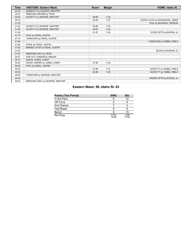| Time  | <b>VISITORS: Eastern Wash.</b>   | <b>Score</b> | <b>Margin</b>   | <b>HOME: Idaho St.</b>          |
|-------|----------------------------------|--------------|-----------------|---------------------------------|
| 02:30 | MISSED FT by GEORGE, IMHOTEP     |              |                 |                                 |
| 02:30 | REBOUND (DEADB) by TEAM          |              |                 |                                 |
| 02:30 | GOOD! FT by GEORGE, IMHOTEP      | 56-85        | V <sub>29</sub> |                                 |
| 02:18 |                                  | 58-85        | V <sub>27</sub> | GOOD! LAYUP by RODRIGUEZ, JARED |
| 01:55 |                                  |              |                 | FOUL by BUZANGU, GEDEON         |
| 01:55 | GOOD! FT by GEORGE, IMHOTEP      | 58-86        | V <sub>28</sub> |                                 |
| 01:55 | GOOD! FT by GEORGE, IMHOTEP      | 58-87        | V <sub>29</sub> |                                 |
| 01:38 |                                  | 61-87        | V <sub>26</sub> | GOOD! 3PTR by BURGIN, AJ        |
| 01:19 | FOUL by FADAL, AUSTIN            |              |                 |                                 |
| 01:19 | TURNOVER by FADAL, AUSTIN        |              |                 |                                 |
| 01:06 |                                  |              |                 | TURNOVER by TAMBA, PABLO        |
| 01:06 | STEAL by FADAL, AUSTIN           |              |                 |                                 |
| 01:02 | MISSED LAYUP by FADAL, AUSTIN    |              |                 |                                 |
| 01:02 |                                  |              |                 | BLOCK by BURGIN, AJ             |
| 01:02 | REBOUND (OFF) by TEAM            |              |                 |                                 |
| 00:37 | SUB OUT: LANDDECK, MASON         |              |                 |                                 |
| 00:37 | SUB IN: JONES, CASEY             |              |                 |                                 |
| 00:36 | GOOD! JUMPER by JONES, CASEY     | 61-89        | V <sub>28</sub> |                                 |
| 00:29 | FOUL by FADAL, AUSTIN            |              |                 |                                 |
| 00:29 |                                  | 62-89        | V <sub>27</sub> | GOOD! FT by TAMBA, PABLO        |
| 00:29 |                                  | 63-89        | V <sub>26</sub> | GOOD! FT by TAMBA, PABLO        |
| 00:08 | TURNOVER by GEORGE, IMHOTEP      |              |                 |                                 |
| 00:02 |                                  |              |                 | MISSED 3PTR by BURGIN, AJ       |
| 00:00 | REBOUND (DEF) by GEORGE, IMHOTEP |              |                 |                                 |

# **Eastern Wash. 89, Idaho St. 63**

| <b>Points (This Period)</b> | <b>EWU</b>     | ISU            |
|-----------------------------|----------------|----------------|
| In the Paint                |                | 12             |
| Off Turns                   | っ              |                |
| 2nd Chance                  |                |                |
| <b>Fast Break</b>           | 6              |                |
| Bench                       | 9              | 15             |
| Per Poss                    | 0.974<br>15/38 | 1.206<br>17/34 |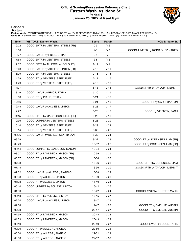### **Official Scoring/Possession Reference Chart Eastern Wash. vs Idaho St. Period 1 January 25, 2022 at Reed Gym**



**Period 1**

<mark>Starters:</mark><br>Eastern Wash.: 2 VENTERS,STEELE (F); 10 PRICE,ETHAN (F); 11 BERGERSEN,RYLAN (G); 13 ALLEGRI,ANGELO (F); 20 ACLIESE,LINTON (F);<br>Idaho St.: 1 SORENSEN,LIAM (G); 2 COOL,TARIK (G); 5 SMELLIE,AUSTIN (G); 22 RODRIGUE

| <b>Time</b> | <b>VISITORS: Eastern Wash.</b>      | <b>Score</b> | <b>Margin</b>   | HOME: Idaho St.                  |
|-------------|-------------------------------------|--------------|-----------------|----------------------------------|
| 19:22       | GOOD! 3PTR by VENTERS, STEELE [FB]  | $0 - 3$      | $V_3$           |                                  |
| 18:56       |                                     | $2 - 3$      | V 1             | GOOD! JUMPER by RODRIGUEZ, JARED |
| 18:27       | GOOD! LAYUP by PRICE, ETHAN         | $2 - 5$      | $V_3$           |                                  |
| 17:58       | GOOD! 3PTR by VENTERS, STEELE       | $2 - 8$      | $V_6$           |                                  |
| 17:32       | GOOD! 3PTR by ALLEGRI, ANGELO [FB]  | $2 - 11$     | V <sub>9</sub>  |                                  |
| 15:43       | GOOD! LAYUP by ACLIESE, LINTON [FB] | $2 - 13$     | V <sub>11</sub> |                                  |
| 15:09       | GOOD! 3PTR by VENTERS, STEELE       | $2 - 16$     | V <sub>14</sub> |                                  |
| 14:29       | GOOD! FT by VENTERS, STEELE [FB]    | $2 - 17$     | V <sub>15</sub> |                                  |
| 14:29       | GOOD! FT by VENTERS, STEELE [FB]    | $2 - 18$     | V <sub>16</sub> |                                  |
| 14:07       |                                     | $5 - 18$     | V <sub>13</sub> | GOOD! 3PTR by TAYLOR III, EMMIT  |
| 13:16       | GOOD! LAYUP by PRICE, ETHAN         | $5 - 20$     | V <sub>15</sub> |                                  |
| 13:16       | GOOD! FT by PRICE, ETHAN            | $5 - 21$     | V <sub>16</sub> |                                  |
| 12:56       |                                     | $6 - 21$     | V <sub>15</sub> | GOOD! FT by CARR, DAXTON         |
| 12:48       | GOOD! LAYUP by ACLIESE, LINTON      | $6 - 23$     | V 17            |                                  |
| 12:27       |                                     | $8 - 23$     | V <sub>15</sub> | GOOD! by VISENTIN, ZACH          |
| 11:15       | GOOD! 3PTR by MAGNUSON, ELLIS [FB]  | $8 - 26$     | V <sub>18</sub> |                                  |
| 10:36       | GOOD! JUMPER by VENTERS, STEELE     | $8 - 28$     | V <sub>20</sub> |                                  |
| 10:14       | GOOD! FT by VENTERS, STEELE [FB]    | 8-29         | V <sub>21</sub> |                                  |
| 10:14       | GOOD! FT by VENTERS, STEELE [FB]    | $8 - 30$     | V <sub>22</sub> |                                  |
| 09:36       | GOOD! LAYUP by BERGERSEN, RYLAN     | $8 - 32$     | V <sub>24</sub> |                                  |
| 09:29       |                                     | $9 - 32$     | V <sub>23</sub> | GOOD! FT by SORENSEN, LIAM [FB]  |
| 09:29       |                                     | 10-32        | V <sub>22</sub> | GOOD! FT by SORENSEN, LIAM [FB]  |
| 08:44       | GOOD! JUMPER by LANDDECK, MASON     | 10-34        | V <sub>24</sub> |                                  |
| 08:07       | GOOD! FT by LANDDECK, MASON [FB]    | $10 - 35$    | V <sub>25</sub> |                                  |
| 08:07       | GOOD! FT by LANDDECK, MASON [FB]    | 10-36        | V <sub>26</sub> |                                  |
| 07:38       |                                     | 13-36        | V <sub>23</sub> | GOOD! 3PTR by SORENSEN, LIAM     |
| 07:18       |                                     | 16-36        | V <sub>20</sub> | GOOD! 3PTR by TAYLOR III, EMMIT  |
| 07:02       | GOOD! LAYUP by ALLEGRI, ANGELO      | 16-38        | V <sub>22</sub> |                                  |
| 06:08       | GOOD! FT by ACLIESE, LINTON         | 16-39        | V <sub>23</sub> |                                  |
| 06:08       | GOOD! FT by ACLIESE, LINTON         | 16-40        | V <sub>24</sub> |                                  |
| 05:14       | GOOD! JUMPER by ACLIESE, LINTON     | 16-42        | V <sub>26</sub> |                                  |
| 04:30       |                                     | 18-42        | V <sub>24</sub> | GOOD! LAYUP by PORTER, MALIK     |
| 03:48       | GOOD! 3PTR by ACLIESE, LINTON       | 18-45        | V <sub>27</sub> |                                  |
| 02:24       | GOOD! LAYUP by ACLIESE, LINTON      | 18-47        | V <sub>29</sub> |                                  |
| 02:08       |                                     | 19-47        | V <sub>28</sub> | GOOD! FT by SMELLIE, AUSTIN      |
| 02:08       |                                     | 20-47        | V <sub>27</sub> | GOOD! FT by SMELLIE, AUSTIN      |
| 01:59       | GOOD! FT by LANDDECK, MASON         | 20-48        | V <sub>28</sub> |                                  |
| 01:59       | GOOD! FT by LANDDECK, MASON         | 20-49        | V <sub>29</sub> |                                  |
| 00:10       |                                     | 22-49        | V <sub>27</sub> | GOOD! LAYUP by COOL, TARIK       |
| 00:00       | GOOD! FT by ALLEGRI, ANGELO         | 22-50        | V <sub>28</sub> |                                  |
| 00:00       | GOOD! FT by ALLEGRI, ANGELO         | 22-51        | V 29            |                                  |
| 00:00       | GOOD! FT by ALLEGRI, ANGELO         | 22-52        | V30             |                                  |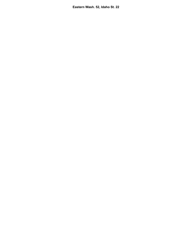**Eastern Wash. 52, Idaho St. 22**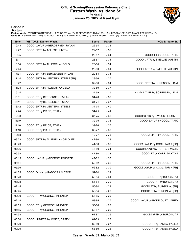# **Official Scoring/Possession Reference Chart Eastern Wash. vs Idaho St. Period 2 January 25, 2022 at Reed Gym**



**Period 2**

#### **Starters:**

**Eastern Wash.**: 2 VENTERS,STEELE (F); 10 PRICE,ETHAN (F); 11 BERGERSEN,RYLAN (G); 13 ALLEGRI,ANGELO (F); 20 ACLIESE,LINTON (F);<br>**Idaho St.**: 1 SORENSEN,LIAM (G); 2 COOL,TARIK (G); 5 SMELLIE,AUSTIN (G); 22 RODRIGUEZ,JARED

| <b>Time</b> | <b>VISITORS: Eastern Wash.</b>     | <b>Score</b> | <b>Margin</b>   | <b>HOME: Idaho St.</b>          |
|-------------|------------------------------------|--------------|-----------------|---------------------------------|
| 19:43       | GOOD! LAYUP by BERGERSEN, RYLAN    | 22-54        | V <sub>32</sub> |                                 |
| 19:22       | GOOD! 3PTR by ACLIESE, LINTON      | 22-57        | V <sub>35</sub> |                                 |
| 19:05       |                                    | 23-57        | V <sub>34</sub> | GOOD! FT by COOL, TARIK         |
| 18:17       |                                    | 26-57        | V <sub>31</sub> | GOOD! 3PTR by SMELLIE, AUSTIN   |
| 18:04       | GOOD! 3PTR by ALLEGRI, ANGELO      | 26-60        | V <sub>34</sub> |                                 |
| 17:44       |                                    | 29-60        | V <sub>31</sub> | GOOD! 3PTR by SMELLIE, AUSTIN   |
| 17:31       | GOOD! 3PTR by BERGERSEN, RYLAN     | 29-63        | V <sub>34</sub> |                                 |
| 17:14       | GOOD! 3PTR by VENTERS, STEELE [FB] | 29-66        | V 37            |                                 |
| 16:42       |                                    | 32-66        | V34             | GOOD! 3PTR by SORENSEN, LIAM    |
| 16:28       | GOOD! 3PTR by ALLEGRI, ANGELO      | 32-69        | V 37            |                                 |
| 16:14       |                                    | 34-69        | V <sub>35</sub> | GOOD! LAYUP by SORENSEN, LIAM   |
| 15:11       | GOOD! FT by BERGERSEN, RYLAN       | 34-70        | V36             |                                 |
| 15:11       | GOOD! FT by BERGERSEN, RYLAN       | 34-71        | V 37            |                                 |
| 13:42       | GOOD! 3PTR by VENTERS, STEELE      | 34-74        | $V$ 40          |                                 |
| 12:24       | GOOD! FT by PRICE, ETHAN           | 34-75        | $V$ 41          |                                 |
| 12:03       |                                    | 37-75        | V 38            | GOOD! 3PTR by TAYLOR III, EMMIT |
| 11:19       |                                    | 39-75        | V36             | GOOD! LAYUP by COOL, TARIK      |
| 11:10       | GOOD! FT by PRICE, ETHAN           | 39-76        | V 37            |                                 |
| 11:10       | GOOD! FT by PRICE, ETHAN           | 39-77        | V 38            |                                 |
| 10:58       |                                    | 42-77        | V <sub>35</sub> | GOOD! 3PTR by COOL, TARIK       |
| 09:23       | GOOD! 3PTR by ALLEGRI, ANGELO [FB] | 42-80        | V 38            |                                 |
| 08:43       |                                    | 44-80        | V36             | GOOD! LAYUP by COOL, TARIK [FB] |
| 07:06       |                                    | 46-80        | V <sub>34</sub> | GOOD! LAYUP by PORTER, MALIK    |
| 06:38       |                                    | 47-80        | V33             | GOOD! FT by CARR, DAXTON        |
| 06:15       | GOOD! LAYUP by GEORGE, IMHOTEP     | 47-82        | V <sub>35</sub> |                                 |
| 05:51       |                                    | 50-82        | V <sub>32</sub> | GOOD! 3PTR by COOL, TARIK       |
| 05:36       |                                    | 52-82        | V <sub>30</sub> | GOOD! LAYUP by COOL, TARIK [FB] |
| 04:35       | GOOD! DUNK by RADOCAJ, VICTOR      | 52-84        | V <sub>32</sub> |                                 |
| 03:28       |                                    | 53-84        | V <sub>31</sub> | GOOD! FT by BURGIN, AJ          |
| 03:28       |                                    | 54-84        | V <sub>30</sub> | GOOD! FT by BURGIN, AJ          |
| 02:45       |                                    | 55-84        | V 29            | GOOD! FT by BURGIN, AJ [FB]     |
| 02:45       |                                    | 56-84        | V <sub>28</sub> | GOOD! FT by BURGIN, AJ [FB]     |
| 02:30       | GOOD! FT by GEORGE, IMHOTEP        | 56-85        | V 29            |                                 |
| 02:18       |                                    | 58-85        | V <sub>27</sub> | GOOD! LAYUP by RODRIGUEZ, JARED |
| 01:55       | GOOD! FT by GEORGE, IMHOTEP        | 58-86        | V <sub>28</sub> |                                 |
| 01:55       | GOOD! FT by GEORGE, IMHOTEP        | 58-87        | V <sub>29</sub> |                                 |
| 01:38       |                                    | 61-87        | V <sub>26</sub> | GOOD! 3PTR by BURGIN, AJ        |
| 00:36       | GOOD! JUMPER by JONES, CASEY       | 61-89        | V <sub>28</sub> |                                 |
| 00:29       |                                    | 62-89        | V <sub>27</sub> | GOOD! FT by TAMBA, PABLO        |
| 00:29       |                                    | 63-89        | V <sub>26</sub> | GOOD! FT by TAMBA, PABLO        |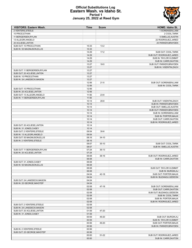# **Official Substitutions Log Eastern Wash. vs Idaho St. Period 1 January 25, 2022 at Reed Gym**

| <b>VISITORS: Eastern Wash.</b> | Time           | <b>Score</b> | <b>HOME: Idaho St.</b>                                 |
|--------------------------------|----------------|--------------|--------------------------------------------------------|
| 2 VENTERS, STEELE              |                |              | 1 SORENSEN, LIAM                                       |
| 10 PRICE, ETHAN                |                |              | 2 COOL, TARIK                                          |
| 11 BERGERSEN, RYLAN            |                |              | 5 SMELLIE, AUSTIN                                      |
| 13 ALLEGRI, ANGELO             |                |              | 22 RODRIGUEZ, JARED                                    |
| 20 ACLIESE, LINTON             |                |              | 25 PARKER, BRAYDEN                                     |
| SUB OUT: 10 PRICE, ETHAN       | 15:33          | $13 - 2$     |                                                        |
| SUB IN: 55 MAGNUSON, ELLIS     | 15:33          |              |                                                        |
|                                | 14:29<br>14:29 | $17-2$       | SUB OUT: COOL, TARIK                                   |
|                                | 14:29          |              | SUB OUT: RODRIGUEZ, JARED<br>SUB IN: TAYLOR III, EMMIT |
|                                | 14:29          |              | SUB IN: CARR, DAXTON                                   |
|                                | 13:27          | $18-5$       | SUB OUT: PARKER, BRAYDEN                               |
|                                | 13:27          |              | SUB IN: VISENTIN, ZACH                                 |
| SUB OUT: 11 BERGERSEN, RYLAN   | 13:27          |              |                                                        |
| SUB OUT: 20 ACLIESE, LINTON    | 13:27          |              |                                                        |
| SUB IN: 10 PRICE, ETHAN        | 13:27          |              |                                                        |
| SUB IN: 24 LANDDECK, MASON     | 13:27          |              |                                                        |
|                                | 12:56          | $21 - 5$     | SUB OUT: SORENSEN, LIAM                                |
|                                | 12:56          |              | SUB IN: COOL, TARIK                                    |
| SUB OUT: 10 PRICE, ETHAN       | 12:56          |              |                                                        |
| SUB IN: 20 ACLIESE, LINTON     | 12:56          |              |                                                        |
| SUB OUT: 13 ALLEGRI.ANGELO     | 11:56          | $23 - 8$     |                                                        |
| SUB IN: 11 BERGERSEN, RYLAN    | 11:56          |              |                                                        |
|                                | 10:14          | $28 - 8$     | SUB OUT: VISENTIN, ZACH                                |
|                                | 10:14          |              | SUB IN: PARKER, BRAYDEN                                |
|                                | 10:14          |              | SUB OUT: SMELLIE, AUSTIN                               |
|                                | 10:14          |              | SUB OUT: PARKER, BRAYDEN                               |
|                                | 10:14          |              | SUB IN: SORENSEN, LIAM                                 |
|                                | 10:14          |              | SUB IN: PORTER, MALIK                                  |
|                                | 10:14          |              | SUB OUT: CARR, DAXTON                                  |
|                                | 10:14          |              | SUB IN: RODRIGUEZ, JARED                               |
| SUB OUT: 20 ACLIESE, LINTON    | 10:14          |              |                                                        |
| SUB IN: 31 JONES, CASEY        | 10:14          |              |                                                        |
| SUB OUT: 2 VENTERS, STEELE     | 09:54          | $30 - 8$     |                                                        |
| SUB IN: 13 ALLEGRI, ANGELO     | 09:54          |              |                                                        |
| SUB OUT: 55 MAGNUSON, ELLIS    | 08:16          | $34 - 10$    |                                                        |
| SUB IN: 2 VENTERS, STEELE      | 08:16          |              |                                                        |
|                                | 08:07          | $35-10$      | SUB OUT: COOL, TARIK                                   |
|                                | 08:07          |              | SUB IN: SMELLIE, AUSTIN                                |
| SUB OUT: 11 BERGERSEN, RYLAN   | 07:24          | $36-13$      |                                                        |
| SUB IN: 20 ACLIESE, LINTON     | 07:24<br>06:08 | 38-16        | SUB OUT: RODRIGUEZ, JARED                              |
|                                | 06:08          |              | <b>SUB IN: CARR.DAXTON</b>                             |
| SUB OUT: 31 JONES.CASEY        | 06:08          |              |                                                        |
| SUB IN: 55 MAGNUSON, ELLIS     | 06:08          |              |                                                        |
|                                | 06:08          |              | SUB OUT: TAYLOR III, EMMIT                             |
|                                | 06:08          |              | SUB IN: BURGIN, AJ                                     |
|                                | 04:04          | 42-18        | SUB OUT: PORTER, MALIK                                 |
|                                | 04:04          |              | SUB IN: BUZANGU, GEDEON                                |
| SUB OUT: 24 LANDDECK, MASON    | 04:04          |              |                                                        |
| SUB IN: 25 GEORGE.IMHOTEP      | 04:04          |              |                                                        |
|                                | 02:08          | 47-18        | SUB OUT: SORENSEN, LIAM                                |
|                                | 02:08          |              | SUB OUT: CARR, DAXTON                                  |
|                                | 02:08          |              | SUB OUT: BUZANGU, GEDEON                               |
|                                | 02:08          |              | SUB IN: COOL, TARIK                                    |
|                                | 02:08          |              | SUB IN: PORTER, MALIK                                  |
|                                | 02:08          |              | SUB IN: RODRIGUEZ, JARED                               |
| SUB OUT: 2 VENTERS, STEELE     | 02:08          |              |                                                        |
| SUB IN: 24 LANDDECK, MASON     | 02:08          |              |                                                        |
| SUB OUT: 20 ACLIESE, LINTON    | 01:59          | 47-20        |                                                        |
| SUB IN: 31 JONES, CASEY        | 01:59          |              |                                                        |
|                                | 00:59          | 49-20        | SUB OUT: BURGIN, AJ                                    |
|                                | 00:59          |              | SUB IN: TAYLOR III, EMMIT                              |
|                                | 00:56          | 49-20        | SUB OUT: PORTER, MALIK                                 |
|                                | 00:56          |              | SUB IN: PARKER, BRAYDEN                                |
| SUB IN: 2 VENTERS, STEELE      | 00:56          |              |                                                        |
| SUB OUT: 25 GEORGE, IMHOTEP    | 00:56          |              |                                                        |
|                                | 00:00          | 51-22        | SUB OUT: RODRIGUEZ, JARED                              |
|                                | 00:00          |              | SUB IN: CARR, DAXTON                                   |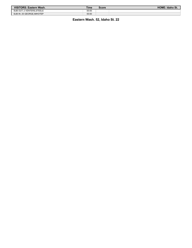| <b>VISITORS: Eastern Wash.</b> | Time  | Score | HOME: Idaho St. |
|--------------------------------|-------|-------|-----------------|
| SUB OUT: 2 VENTERS.STEELE      | 00:00 |       |                 |
| SUB IN: 25 GEORGE.IMHOTEP      | 00:00 |       |                 |

**Eastern Wash. 52, Idaho St. 22**